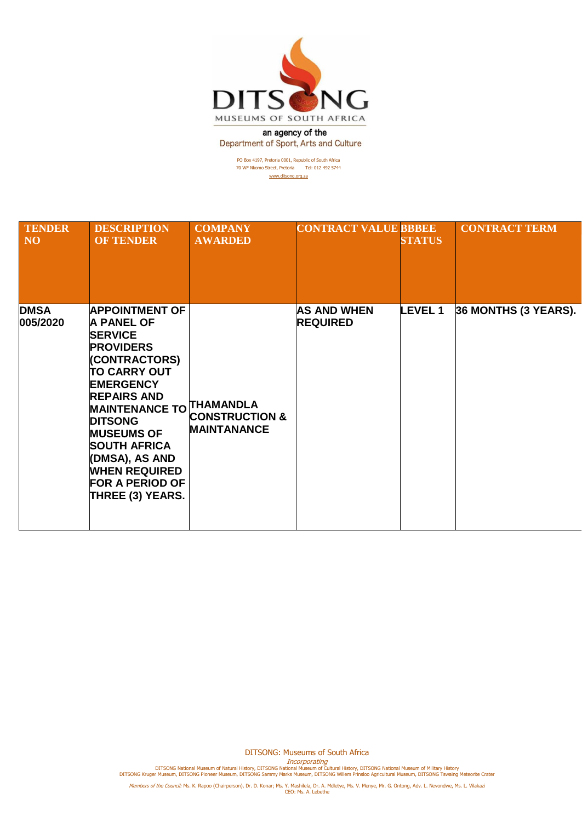

an agency of the Department of Sport, Arts and Culture

> PO Box 4197, Pretoria 0001, Republic of South Africa 70 WF Nkomo Street, Pretoria Tel: 012 492 5744 [www.ditsong.org.za](http://www.ditsong.org.za/)

| <b>TENDER</b><br><b>NO</b> | <b>DESCRIPTION</b><br><b>OF TENDER</b>                                                                                                                                                                                                                                                                                                                             | <b>COMPANY</b><br><b>AWARDED</b>                | <b>CONTRACT VALUE BBBEE</b>           | <b>STATUS</b>  | <b>CONTRACT TERM</b> |
|----------------------------|--------------------------------------------------------------------------------------------------------------------------------------------------------------------------------------------------------------------------------------------------------------------------------------------------------------------------------------------------------------------|-------------------------------------------------|---------------------------------------|----------------|----------------------|
| <b>DMSA</b><br>005/2020    | <b>APPOINTMENT OF</b><br><b>A PANEL OF</b><br><b>SERVICE</b><br><b>PROVIDERS</b><br>(CONTRACTORS)<br><b>TO CARRY OUT</b><br><b>EMERGENCY</b><br><b>REPAIRS AND</b><br><b>MAINTENANCE TO THAMANDLA</b><br><b>DITSONG</b><br><b>MUSEUMS OF</b><br><b>SOUTH AFRICA</b><br>(DMSA), AS AND<br><b>WHEN REQUIRED</b><br><b>FOR A PERIOD OF</b><br><b>THREE (3) YEARS.</b> | <b>CONSTRUCTION &amp;</b><br><b>MAINTANANCE</b> | <b>AS AND WHEN</b><br><b>REQUIRED</b> | <b>LEVEL 1</b> | 36 MONTHS (3 YEARS). |

DITSONG: Museums of South Africa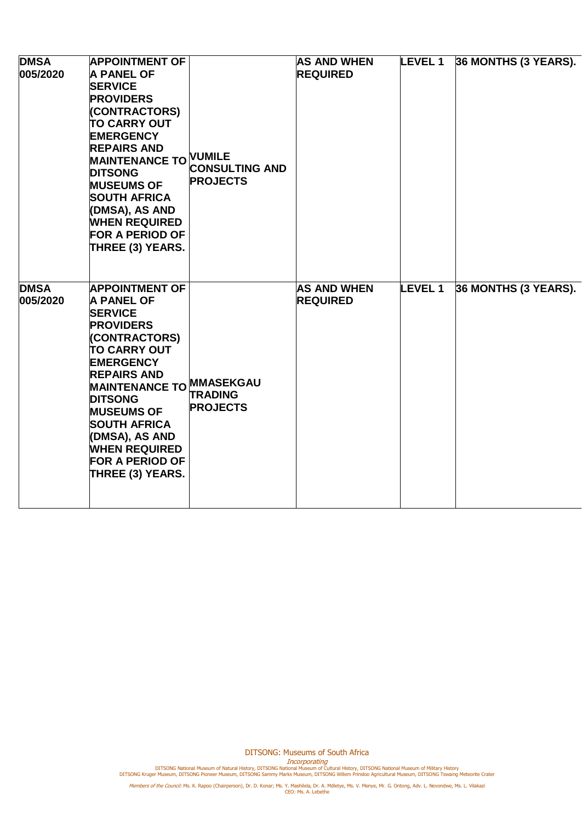| <b>DMSA</b><br>005/2020 | <b>APPOINTMENT OF</b><br><b>A PANEL OF</b><br><b>SERVICE</b><br><b>PROVIDERS</b><br>(CONTRACTORS)<br><b>TO CARRY OUT</b><br><b>EMERGENCY</b><br><b>REPAIRS AND</b><br>MAINTENANCE TO VUMILE<br><b>DITSONG</b><br><b>MUSEUMS OF</b><br><b>SOUTH AFRICA</b><br>(DMSA), AS AND<br><b>WHEN REQUIRED</b><br><b>FOR A PERIOD OF</b><br><b>THREE (3) YEARS.</b>    | <b>CONSULTING AND</b><br><b>PROJECTS</b> | <b>AS AND WHEN</b><br><b>REQUIRED</b> | <b>LEVEL 1</b> | 36 MONTHS (3 YEARS). |
|-------------------------|-------------------------------------------------------------------------------------------------------------------------------------------------------------------------------------------------------------------------------------------------------------------------------------------------------------------------------------------------------------|------------------------------------------|---------------------------------------|----------------|----------------------|
| <b>DMSA</b><br>005/2020 | <b>APPOINTMENT OF</b><br><b>A PANEL OF</b><br><b>SERVICE</b><br><b>PROVIDERS</b><br>(CONTRACTORS)<br><b>TO CARRY OUT</b><br><b>EMERGENCY</b><br><b>REPAIRS AND</b><br>MAINTENANCE TO MMASEKGAU<br><b>DITSONG</b><br><b>MUSEUMS OF</b><br><b>SOUTH AFRICA</b><br>(DMSA), AS AND<br><b>WHEN REQUIRED</b><br><b>FOR A PERIOD OF</b><br><b>THREE (3) YEARS.</b> | <b>TRADING</b><br><b>PROJECTS</b>        | <b>AS AND WHEN</b><br><b>REQUIRED</b> | <b>LEVEL 1</b> | 36 MONTHS (3 YEARS). |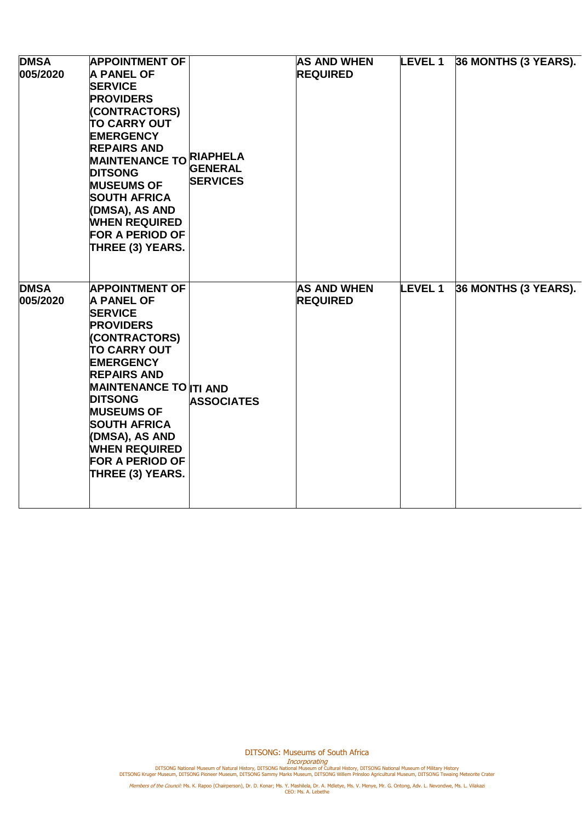| <b>DMSA</b><br>005/2020 | <b>APPOINTMENT OF</b><br><b>A PANEL OF</b><br><b>SERVICE</b><br><b>PROVIDERS</b><br>(CONTRACTORS)<br><b>TO CARRY OUT</b><br><b>EMERGENCY</b><br><b>REPAIRS AND</b><br>MAINTENANCE TO RIAPHELA<br><b>DITSONG</b><br><b>MUSEUMS OF</b><br><b>SOUTH AFRICA</b><br>(DMSA), AS AND<br><b>WHEN REQUIRED</b><br><b>FOR A PERIOD OF</b><br>THREE (3) YEARS.              | <b>GENERAL</b><br><b>SERVICES</b> | <b>AS AND WHEN</b><br><b>REQUIRED</b> | <b>LEVEL 1</b> | 36 MONTHS (3 YEARS). |
|-------------------------|------------------------------------------------------------------------------------------------------------------------------------------------------------------------------------------------------------------------------------------------------------------------------------------------------------------------------------------------------------------|-----------------------------------|---------------------------------------|----------------|----------------------|
| <b>DMSA</b><br>005/2020 | <b>APPOINTMENT OF</b><br><b>A PANEL OF</b><br><b>SERVICE</b><br><b>PROVIDERS</b><br><b>(CONTRACTORS)</b><br><b>TO CARRY OUT</b><br><b>EMERGENCY</b><br><b>REPAIRS AND</b><br><b>MAINTENANCE TO ITI AND</b><br><b>DITSONG</b><br><b>MUSEUMS OF</b><br><b>SOUTH AFRICA</b><br>(DMSA), AS AND<br><b>WHEN REQUIRED</b><br><b>FOR A PERIOD OF</b><br>THREE (3) YEARS. | <b>ASSOCIATES</b>                 | <b>AS AND WHEN</b><br><b>REQUIRED</b> | <b>LEVEL 1</b> | 36 MONTHS (3 YEARS). |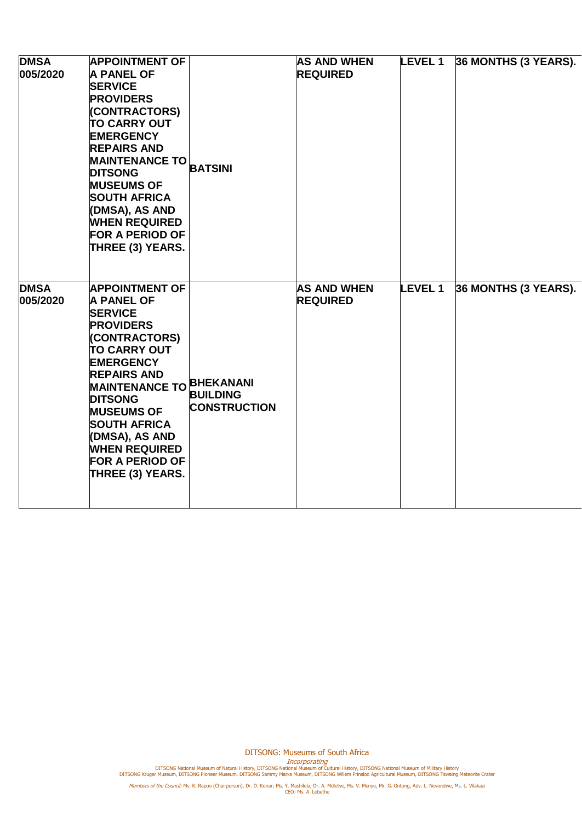| <b>DMSA</b><br>005/2020 | <b>APPOINTMENT OF</b><br><b>A PANEL OF</b><br><b>SERVICE</b><br><b>PROVIDERS</b><br>(CONTRACTORS)<br><b>TO CARRY OUT</b><br><b>EMERGENCY</b><br><b>REPAIRS AND</b><br><b>MAINTENANCE TO</b><br><b>DITSONG</b><br><b>MUSEUMS OF</b><br><b>SOUTH AFRICA</b><br>(DMSA), AS AND<br><b>WHEN REQUIRED</b><br><b>FOR A PERIOD OF</b><br>THREE (3) YEARS.           | <b>BATSINI</b>                         | <b>AS AND WHEN</b><br><b>REQUIRED</b> | <b>LEVEL 1</b> | 36 MONTHS (3 YEARS). |
|-------------------------|-------------------------------------------------------------------------------------------------------------------------------------------------------------------------------------------------------------------------------------------------------------------------------------------------------------------------------------------------------------|----------------------------------------|---------------------------------------|----------------|----------------------|
| <b>DMSA</b><br>005/2020 | <b>APPOINTMENT OF</b><br><b>A PANEL OF</b><br><b>SERVICE</b><br><b>PROVIDERS</b><br>(CONTRACTORS)<br><b>TO CARRY OUT</b><br><b>EMERGENCY</b><br><b>REPAIRS AND</b><br>MAINTENANCE TO BHEKANANI<br><b>DITSONG</b><br><b>MUSEUMS OF</b><br><b>SOUTH AFRICA</b><br>(DMSA), AS AND<br><b>WHEN REQUIRED</b><br><b>FOR A PERIOD OF</b><br><b>THREE (3) YEARS.</b> | <b>BUILDING</b><br><b>CONSTRUCTION</b> | <b>AS AND WHEN</b><br><b>REQUIRED</b> | <b>LEVEL 1</b> | 36 MONTHS (3 YEARS). |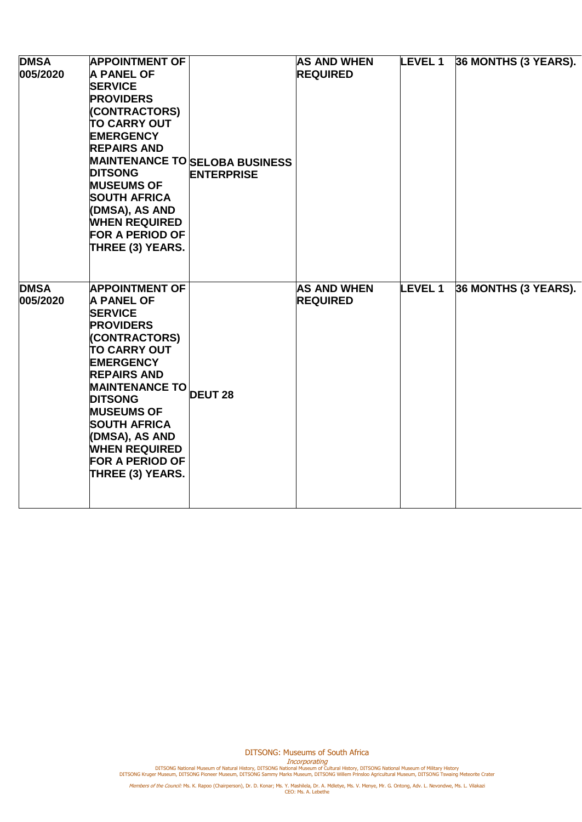| <b>DMSA</b><br>005/2020 | <b>APPOINTMENT OF</b><br><b>A PANEL OF</b><br><b>SERVICE</b><br><b>PROVIDERS</b><br>(CONTRACTORS)<br><b>TO CARRY OUT</b><br><b>EMERGENCY</b><br><b>REPAIRS AND</b><br><b>DITSONG</b><br><b>MUSEUMS OF</b><br><b>SOUTH AFRICA</b><br>(DMSA), AS AND<br><b>WHEN REQUIRED</b><br><b>FOR A PERIOD OF</b><br><b>THREE (3) YEARS.</b>                           | <b>MAINTENANCE TO SELOBA BUSINESS</b><br><b>ENTERPRISE</b> | <b>AS AND WHEN</b><br><b>REQUIRED</b> | <b>LEVEL 1</b> | 36 MONTHS (3 YEARS). |
|-------------------------|-----------------------------------------------------------------------------------------------------------------------------------------------------------------------------------------------------------------------------------------------------------------------------------------------------------------------------------------------------------|------------------------------------------------------------|---------------------------------------|----------------|----------------------|
| <b>DMSA</b><br>005/2020 | <b>APPOINTMENT OF</b><br><b>A PANEL OF</b><br><b>SERVICE</b><br><b>PROVIDERS</b><br>(CONTRACTORS)<br><b>TO CARRY OUT</b><br><b>EMERGENCY</b><br><b>REPAIRS AND</b><br>MAINTENANCE TO DEUT 28<br><b>DITSONG</b><br><b>MUSEUMS OF</b><br><b>SOUTH AFRICA</b><br>(DMSA), AS AND<br><b>WHEN REQUIRED</b><br><b>FOR A PERIOD OF</b><br><b>THREE (3) YEARS.</b> |                                                            | <b>AS AND WHEN</b><br><b>REQUIRED</b> | <b>LEVEL1</b>  | 36 MONTHS (3 YEARS). |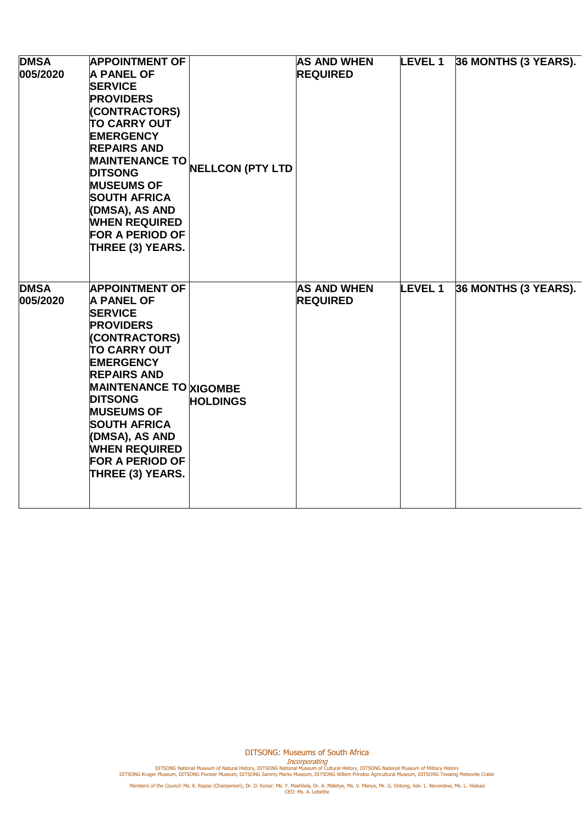| <b>DMSA</b><br>005/2020 | <b>APPOINTMENT OF</b><br><b>A PANEL OF</b><br><b>SERVICE</b><br><b>PROVIDERS</b><br>(CONTRACTORS)<br><b>TO CARRY OUT</b><br><b>EMERGENCY</b><br><b>REPAIRS AND</b><br><b>MAINTENANCE TO</b><br><b>DITSONG</b><br><b>MUSEUMS OF</b><br><b>SOUTH AFRICA</b><br>(DMSA), AS AND<br><b>WHEN REQUIRED</b><br><b>FOR A PERIOD OF</b><br>THREE (3) YEARS.         | <b>NELLCON (PTY LTD</b> | <b>AS AND WHEN</b><br><b>REQUIRED</b> | <b>LEVEL 1</b> | 36 MONTHS (3 YEARS). |
|-------------------------|-----------------------------------------------------------------------------------------------------------------------------------------------------------------------------------------------------------------------------------------------------------------------------------------------------------------------------------------------------------|-------------------------|---------------------------------------|----------------|----------------------|
| <b>DMSA</b><br>005/2020 | <b>APPOINTMENT OF</b><br><b>A PANEL OF</b><br><b>SERVICE</b><br><b>PROVIDERS</b><br>(CONTRACTORS)<br><b>TO CARRY OUT</b><br><b>EMERGENCY</b><br><b>REPAIRS AND</b><br><b>MAINTENANCE TO XIGOMBE</b><br><b>DITSONG</b><br><b>MUSEUMS OF</b><br><b>SOUTH AFRICA</b><br>(DMSA), AS AND<br><b>WHEN REQUIRED</b><br><b>FOR A PERIOD OF</b><br>THREE (3) YEARS. | <b>HOLDINGS</b>         | <b>AS AND WHEN</b><br><b>REQUIRED</b> | <b>LEVEL 1</b> | 36 MONTHS (3 YEARS). |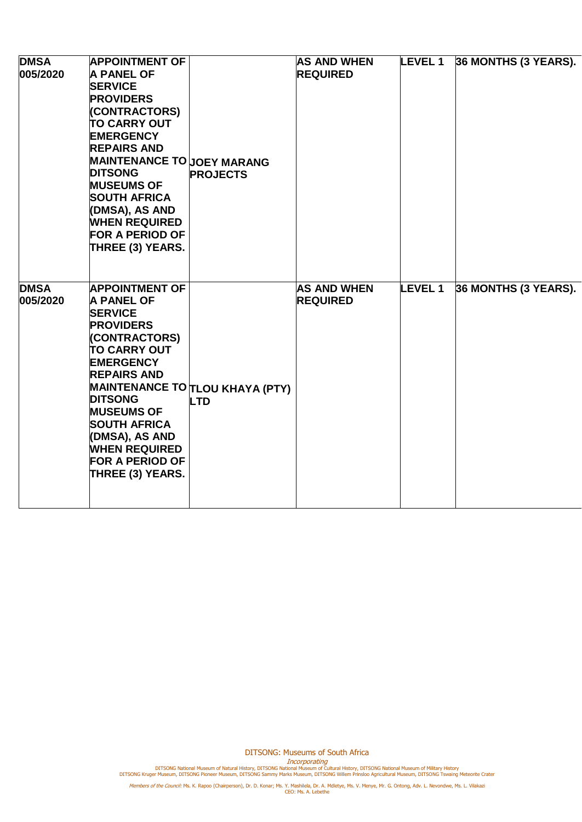| <b>DMSA</b><br>005/2020 | <b>APPOINTMENT OF</b><br><b>A PANEL OF</b><br><b>SERVICE</b><br><b>PROVIDERS</b><br>(CONTRACTORS)<br><b>TO CARRY OUT</b><br><b>EMERGENCY</b><br><b>REPAIRS AND</b><br><b>MAINTENANCE TO JOEY MARANG</b><br><b>DITSONG</b><br><b>MUSEUMS OF</b><br><b>SOUTH AFRICA</b><br>(DMSA), AS AND<br><b>WHEN REQUIRED</b><br><b>FOR A PERIOD OF</b><br>THREE (3) YEARS. | <b>PROJECTS</b>                                      | <b>AS AND WHEN</b><br><b>REQUIRED</b> | <b>LEVEL 1</b> | 36 MONTHS (3 YEARS). |
|-------------------------|---------------------------------------------------------------------------------------------------------------------------------------------------------------------------------------------------------------------------------------------------------------------------------------------------------------------------------------------------------------|------------------------------------------------------|---------------------------------------|----------------|----------------------|
| <b>DMSA</b><br>005/2020 | <b>APPOINTMENT OF</b><br><b>A PANEL OF</b><br><b>SERVICE</b><br><b>PROVIDERS</b><br>(CONTRACTORS)<br><b>TO CARRY OUT</b><br><b>EMERGENCY</b><br><b>REPAIRS AND</b><br><b>DITSONG</b><br><b>MUSEUMS OF</b><br><b>SOUTH AFRICA</b><br>(DMSA), AS AND<br><b>WHEN REQUIRED</b><br><b>FOR A PERIOD OF</b><br>THREE (3) YEARS.                                      | <b>MAINTENANCE TO TLOU KHAYA (PTY)</b><br><b>LTD</b> | <b>AS AND WHEN</b><br><b>REQUIRED</b> | <b>LEVEL 1</b> | 36 MONTHS (3 YEARS). |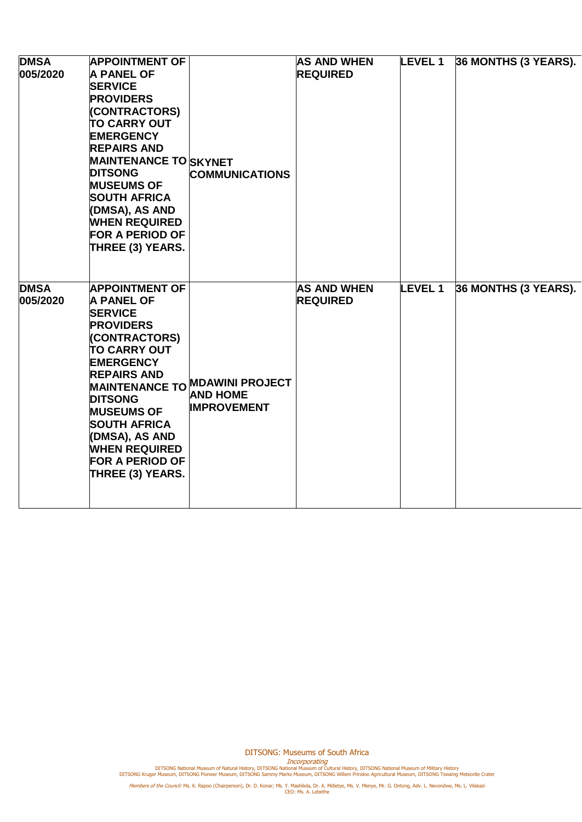| <b>DMSA</b><br>005/2020 | <b>APPOINTMENT OF</b><br><b>A PANEL OF</b><br><b>SERVICE</b><br><b>PROVIDERS</b><br>(CONTRACTORS)<br><b>TO CARRY OUT</b><br><b>EMERGENCY</b><br><b>REPAIRS AND</b><br><b>MAINTENANCE TO SKYNET</b><br><b>DITSONG</b><br><b>MUSEUMS OF</b><br><b>SOUTH AFRICA</b><br>(DMSA), AS AND<br><b>WHEN REQUIRED</b><br><b>FOR A PERIOD OF</b><br>THREE (3) YEARS. | <b>COMMUNICATIONS</b>                                                   | <b>AS AND WHEN</b><br><b>REQUIRED</b> | <b>LEVEL 1</b> | 36 MONTHS (3 YEARS). |
|-------------------------|----------------------------------------------------------------------------------------------------------------------------------------------------------------------------------------------------------------------------------------------------------------------------------------------------------------------------------------------------------|-------------------------------------------------------------------------|---------------------------------------|----------------|----------------------|
| <b>DMSA</b><br>005/2020 | <b>APPOINTMENT OF</b><br><b>A PANEL OF</b><br><b>SERVICE</b><br><b>PROVIDERS</b><br>(CONTRACTORS)<br><b>TO CARRY OUT</b><br><b>EMERGENCY</b><br><b>REPAIRS AND</b><br><b>DITSONG</b><br><b>MUSEUMS OF</b><br><b>SOUTH AFRICA</b><br>(DMSA), AS AND<br><b>WHEN REQUIRED</b><br><b>FOR A PERIOD OF</b><br>THREE (3) YEARS.                                 | MAINTENANCE TO MDAWINI PROJECT<br><b>AND HOME</b><br><b>IMPROVEMENT</b> | <b>AS AND WHEN</b><br><b>REQUIRED</b> | <b>LEVEL 1</b> | 36 MONTHS (3 YEARS). |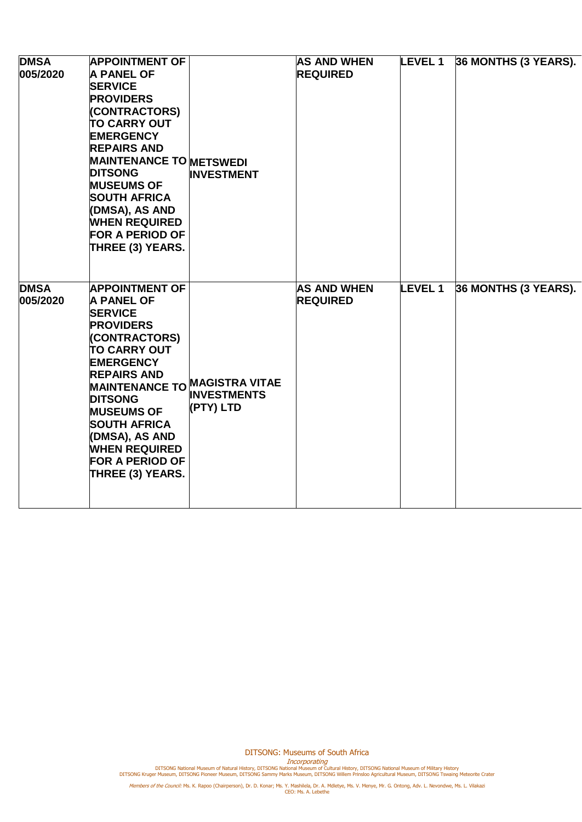| <b>DMSA</b><br>005/2020 | <b>APPOINTMENT OF</b><br><b>A PANEL OF</b><br><b>SERVICE</b><br><b>PROVIDERS</b><br>(CONTRACTORS)<br><b>TO CARRY OUT</b><br><b>EMERGENCY</b><br><b>REPAIRS AND</b><br><b>MAINTENANCE TO METSWEDI</b><br><b>DITSONG</b><br><b>MUSEUMS OF</b><br><b>SOUTH AFRICA</b><br>(DMSA), AS AND<br><b>WHEN REQUIRED</b><br><b>FOR A PERIOD OF</b><br>THREE (3) YEARS.       | <b>INVESTMENT</b>               | <b>AS AND WHEN</b><br><b>REQUIRED</b> | <b>LEVEL 1</b> | 36 MONTHS (3 YEARS). |
|-------------------------|------------------------------------------------------------------------------------------------------------------------------------------------------------------------------------------------------------------------------------------------------------------------------------------------------------------------------------------------------------------|---------------------------------|---------------------------------------|----------------|----------------------|
| <b>DMSA</b><br>005/2020 | <b>APPOINTMENT OF</b><br><b>A PANEL OF</b><br><b>SERVICE</b><br><b>PROVIDERS</b><br>(CONTRACTORS)<br><b>TO CARRY OUT</b><br><b>EMERGENCY</b><br><b>REPAIRS AND</b><br>MAINTENANCE TO MAGISTRA VITAE<br><b>DITSONG</b><br><b>MUSEUMS OF</b><br><b>SOUTH AFRICA</b><br>(DMSA), AS AND<br><b>WHEN REQUIRED</b><br><b>FOR A PERIOD OF</b><br><b>THREE (3) YEARS.</b> | <b>INVESTMENTS</b><br>(PTY) LTD | <b>AS AND WHEN</b><br><b>REQUIRED</b> | <b>LEVEL 1</b> | 36 MONTHS (3 YEARS). |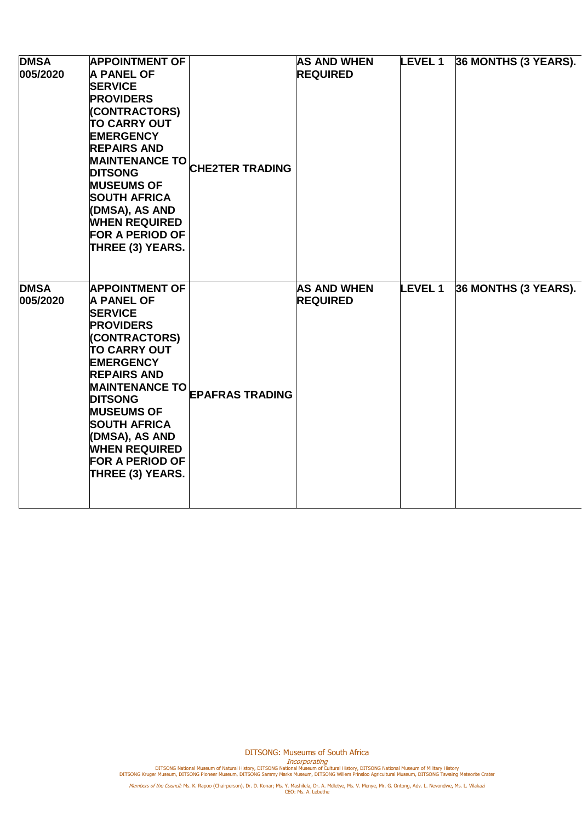| <b>DMSA</b><br>005/2020 | <b>APPOINTMENT OF</b><br><b>A PANEL OF</b><br><b>SERVICE</b><br><b>PROVIDERS</b><br>(CONTRACTORS)<br><b>TO CARRY OUT</b><br><b>EMERGENCY</b><br><b>REPAIRS AND</b><br><b>MAINTENANCE TO</b><br><b>DITSONG</b><br><b>MUSEUMS OF</b><br><b>SOUTH AFRICA</b><br>(DMSA), AS AND<br><b>WHEN REQUIRED</b><br><b>FOR A PERIOD OF</b><br>THREE (3) YEARS. | <b>CHE2TER TRADING</b> | <b>AS AND WHEN</b><br><b>REQUIRED</b> | <b>LEVEL 1</b> | 36 MONTHS (3 YEARS). |
|-------------------------|---------------------------------------------------------------------------------------------------------------------------------------------------------------------------------------------------------------------------------------------------------------------------------------------------------------------------------------------------|------------------------|---------------------------------------|----------------|----------------------|
| <b>DMSA</b><br>005/2020 | <b>APPOINTMENT OF</b><br><b>A PANEL OF</b><br><b>SERVICE</b><br><b>PROVIDERS</b><br>(CONTRACTORS)<br><b>TO CARRY OUT</b><br><b>EMERGENCY</b><br><b>REPAIRS AND</b><br><b>MAINTENANCE TO</b><br><b>DITSONG</b><br><b>MUSEUMS OF</b><br><b>SOUTH AFRICA</b><br>(DMSA), AS AND<br><b>WHEN REQUIRED</b><br><b>FOR A PERIOD OF</b><br>THREE (3) YEARS. | <b>EPAFRAS TRADING</b> | <b>AS AND WHEN</b><br><b>REQUIRED</b> | <b>LEVEL 1</b> | 36 MONTHS (3 YEARS). |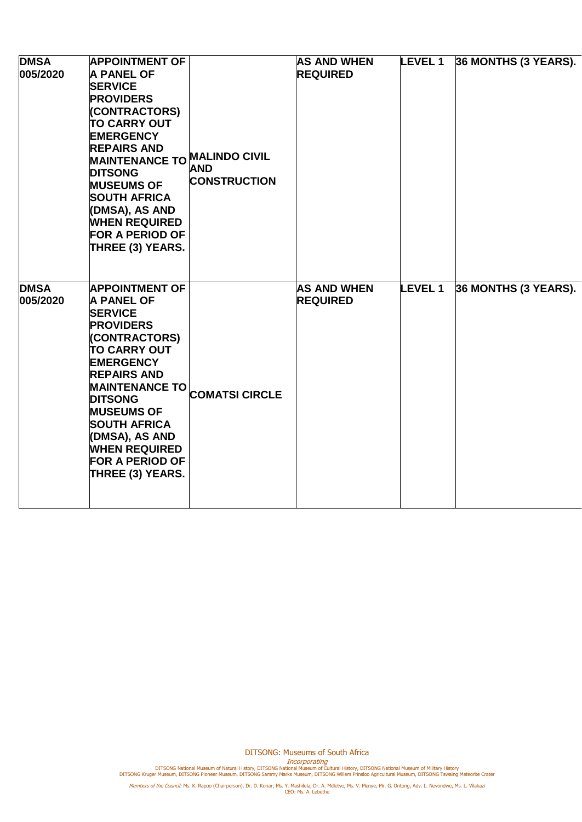| <b>DMSA</b><br>005/2020 | <b>APPOINTMENT OF</b><br><b>A PANEL OF</b><br><b>SERVICE</b><br><b>PROVIDERS</b><br>(CONTRACTORS)<br><b>TO CARRY OUT</b><br><b>EMERGENCY</b><br><b>REPAIRS AND</b><br>MAINTENANCE TO MALINDO CIVIL<br><b>DITSONG</b><br><b>MUSEUMS OF</b><br><b>SOUTH AFRICA</b><br>(DMSA), AS AND<br><b>WHEN REQUIRED</b><br><b>FOR A PERIOD OF</b><br>THREE (3) YEARS. | <b>AND</b><br><b>CONSTRUCTION</b> | <b>AS AND WHEN</b><br><b>REQUIRED</b> | <b>LEVEL 1</b> | 36 MONTHS (3 YEARS). |
|-------------------------|----------------------------------------------------------------------------------------------------------------------------------------------------------------------------------------------------------------------------------------------------------------------------------------------------------------------------------------------------------|-----------------------------------|---------------------------------------|----------------|----------------------|
| <b>DMSA</b><br>005/2020 | <b>APPOINTMENT OF</b><br><b>A PANEL OF</b><br><b>SERVICE</b><br><b>PROVIDERS</b><br>(CONTRACTORS)<br><b>TO CARRY OUT</b><br><b>EMERGENCY</b><br><b>REPAIRS AND</b><br><b>MAINTENANCE TO</b><br><b>DITSONG</b><br><b>MUSEUMS OF</b><br><b>SOUTH AFRICA</b><br>(DMSA), AS AND<br><b>WHEN REQUIRED</b><br><b>FOR A PERIOD OF</b><br><b>THREE (3) YEARS.</b> | <b>COMATSI CIRCLE</b>             | <b>AS AND WHEN</b><br><b>REQUIRED</b> | <b>LEVEL 1</b> | 36 MONTHS (3 YEARS). |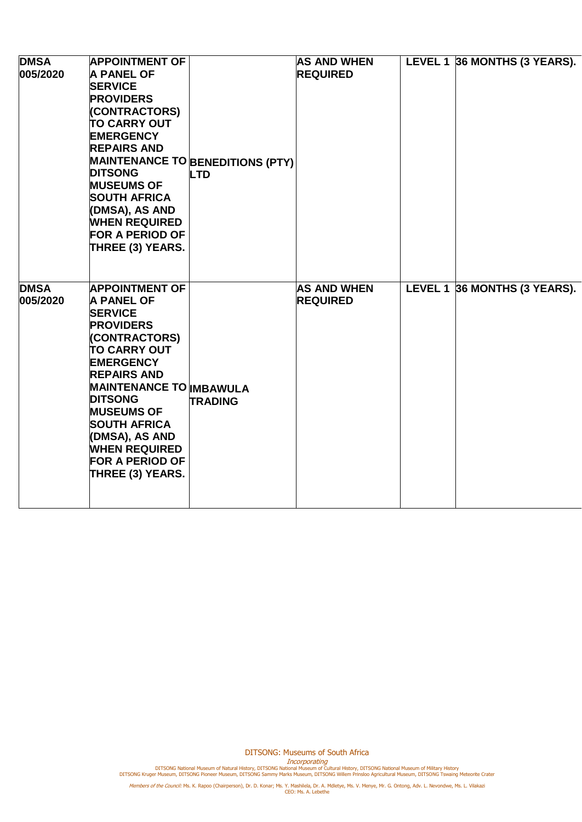| <b>DMSA</b><br>005/2020 | <b>APPOINTMENT OF</b><br><b>A PANEL OF</b><br><b>SERVICE</b><br><b>PROVIDERS</b><br>(CONTRACTORS)<br><b>TO CARRY OUT</b><br><b>EMERGENCY</b><br><b>REPAIRS AND</b><br><b>DITSONG</b><br><b>MUSEUMS OF</b><br><b>SOUTH AFRICA</b><br>(DMSA), AS AND<br><b>WHEN REQUIRED</b><br><b>FOR A PERIOD OF</b><br>THREE (3) YEARS.                                   | <b>MAINTENANCE TO BENEDITIONS (PTY)</b><br><b>LTD</b> | <b>AS AND WHEN</b><br><b>REQUIRED</b> | LEVEL 1 36 MONTHS (3 YEARS). |
|-------------------------|------------------------------------------------------------------------------------------------------------------------------------------------------------------------------------------------------------------------------------------------------------------------------------------------------------------------------------------------------------|-------------------------------------------------------|---------------------------------------|------------------------------|
| <b>DMSA</b><br>005/2020 | <b>APPOINTMENT OF</b><br><b>A PANEL OF</b><br><b>SERVICE</b><br><b>PROVIDERS</b><br>(CONTRACTORS)<br><b>TO CARRY OUT</b><br><b>EMERGENCY</b><br><b>REPAIRS AND</b><br><b>MAINTENANCE TO IMBAWULA</b><br><b>DITSONG</b><br><b>MUSEUMS OF</b><br><b>SOUTH AFRICA</b><br>(DMSA), AS AND<br><b>WHEN REQUIRED</b><br><b>FOR A PERIOD OF</b><br>THREE (3) YEARS. | <b>TRADING</b>                                        | <b>AS AND WHEN</b><br><b>REQUIRED</b> | LEVEL 1 36 MONTHS (3 YEARS). |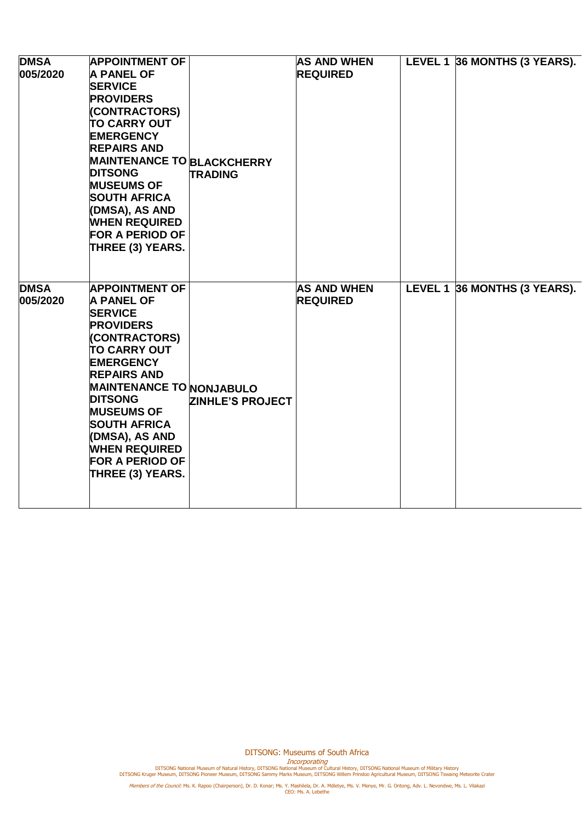| <b>DMSA</b><br>005/2020 | <b>APPOINTMENT OF</b><br><b>A PANEL OF</b><br><b>SERVICE</b><br><b>PROVIDERS</b><br>(CONTRACTORS)<br><b>TO CARRY OUT</b><br><b>EMERGENCY</b><br><b>REPAIRS AND</b><br><b>MAINTENANCE TO BLACKCHERRY</b><br><b>DITSONG</b><br><b>MUSEUMS OF</b><br><b>SOUTH AFRICA</b><br>(DMSA), AS AND<br><b>WHEN REQUIRED</b><br><b>FOR A PERIOD OF</b><br>THREE (3) YEARS. | <b>TRADING</b>          | <b>AS AND WHEN</b><br><b>REQUIRED</b> | LEVEL 1 36 MONTHS (3 YEARS). |
|-------------------------|---------------------------------------------------------------------------------------------------------------------------------------------------------------------------------------------------------------------------------------------------------------------------------------------------------------------------------------------------------------|-------------------------|---------------------------------------|------------------------------|
| <b>DMSA</b><br>005/2020 | <b>APPOINTMENT OF</b><br><b>A PANEL OF</b><br><b>SERVICE</b><br><b>PROVIDERS</b><br>(CONTRACTORS)<br><b>TO CARRY OUT</b><br><b>EMERGENCY</b><br><b>REPAIRS AND</b><br><b>MAINTENANCE TO NONJABULO</b><br><b>DITSONG</b><br><b>MUSEUMS OF</b><br><b>SOUTH AFRICA</b><br>(DMSA), AS AND<br><b>WHEN REQUIRED</b><br><b>FOR A PERIOD OF</b><br>THREE (3) YEARS.   | <b>ZINHLE'S PROJECT</b> | <b>AS AND WHEN</b><br><b>REQUIRED</b> | LEVEL 1 36 MONTHS (3 YEARS). |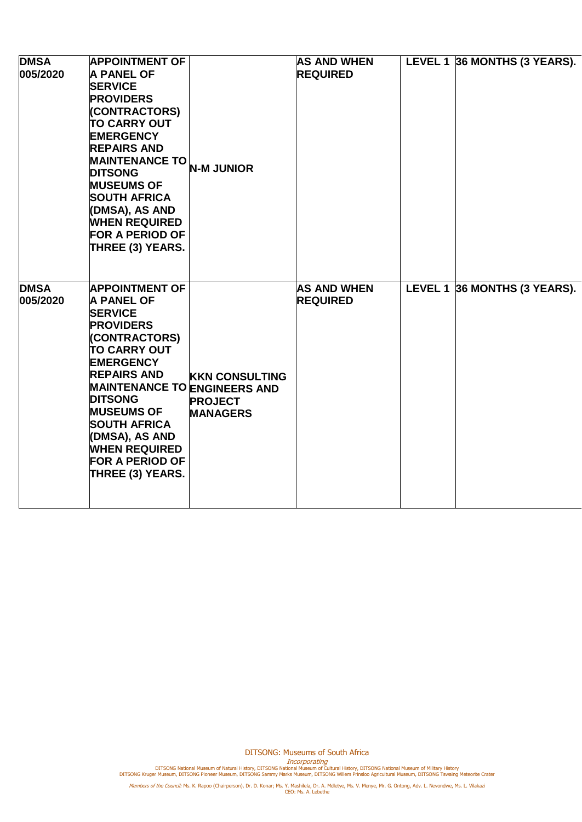| <b>DMSA</b><br>005/2020 | <b>APPOINTMENT OF</b><br><b>A PANEL OF</b><br><b>SERVICE</b><br><b>PROVIDERS</b><br>(CONTRACTORS)<br><b>TO CARRY OUT</b><br><b>EMERGENCY</b><br><b>REPAIRS AND</b><br><b>MAINTENANCE TO</b><br><b>DITSONG</b><br><b>MUSEUMS OF</b><br><b>SOUTH AFRICA</b><br>(DMSA), AS AND<br><b>WHEN REQUIRED</b><br><b>FOR A PERIOD OF</b><br>THREE (3) YEARS.                      | <b>N-M JUNIOR</b>                                          | <b>AS AND WHEN</b><br><b>REQUIRED</b> | LEVEL 1 36 MONTHS (3 YEARS). |
|-------------------------|------------------------------------------------------------------------------------------------------------------------------------------------------------------------------------------------------------------------------------------------------------------------------------------------------------------------------------------------------------------------|------------------------------------------------------------|---------------------------------------|------------------------------|
| <b>DMSA</b><br>005/2020 | <b>APPOINTMENT OF</b><br><b>A PANEL OF</b><br><b>SERVICE</b><br><b>PROVIDERS</b><br>(CONTRACTORS)<br><b>TO CARRY OUT</b><br><b>EMERGENCY</b><br><b>REPAIRS AND</b><br><b>MAINTENANCE TO ENGINEERS AND</b><br><b>DITSONG</b><br><b>MUSEUMS OF</b><br><b>SOUTH AFRICA</b><br>(DMSA), AS AND<br><b>WHEN REQUIRED</b><br><b>FOR A PERIOD OF</b><br><b>THREE (3) YEARS.</b> | <b>KKN CONSULTING</b><br><b>PROJECT</b><br><b>MANAGERS</b> | <b>AS AND WHEN</b><br><b>REQUIRED</b> | LEVEL 1 36 MONTHS (3 YEARS). |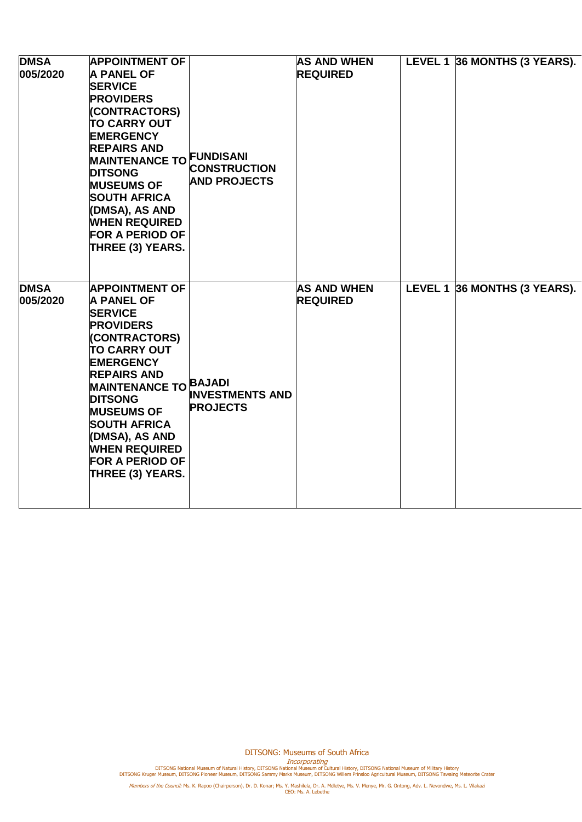| <b>DMSA</b><br>005/2020 | <b>APPOINTMENT OF</b><br><b>A PANEL OF</b><br><b>SERVICE</b><br><b>PROVIDERS</b><br>(CONTRACTORS)<br><b>TO CARRY OUT</b><br><b>EMERGENCY</b><br><b>REPAIRS AND</b><br><b>MAINTENANCE TO FUNDISANI</b><br><b>DITSONG</b><br><b>MUSEUMS OF</b><br><b>SOUTH AFRICA</b><br>(DMSA), AS AND<br><b>WHEN REQUIRED</b><br><b>FOR A PERIOD OF</b><br>THREE (3) YEARS. | <b>CONSTRUCTION</b><br><b>AND PROJECTS</b> | <b>AS AND WHEN</b><br><b>REQUIRED</b> | LEVEL 1 36 MONTHS (3 YEARS). |
|-------------------------|-------------------------------------------------------------------------------------------------------------------------------------------------------------------------------------------------------------------------------------------------------------------------------------------------------------------------------------------------------------|--------------------------------------------|---------------------------------------|------------------------------|
| <b>DMSA</b><br>005/2020 | <b>APPOINTMENT OF</b><br><b>A PANEL OF</b><br><b>SERVICE</b><br><b>PROVIDERS</b><br>(CONTRACTORS)<br><b>TO CARRY OUT</b><br><b>EMERGENCY</b><br><b>REPAIRS AND</b><br><b>MAINTENANCE TO BAJADI</b><br><b>DITSONG</b><br><b>MUSEUMS OF</b><br><b>SOUTH AFRICA</b><br>(DMSA), AS AND<br><b>WHEN REQUIRED</b><br><b>FOR A PERIOD OF</b><br>THREE (3) YEARS.    | <b>INVESTMENTS AND</b><br><b>PROJECTS</b>  | <b>AS AND WHEN</b><br><b>REQUIRED</b> | LEVEL 1 36 MONTHS (3 YEARS). |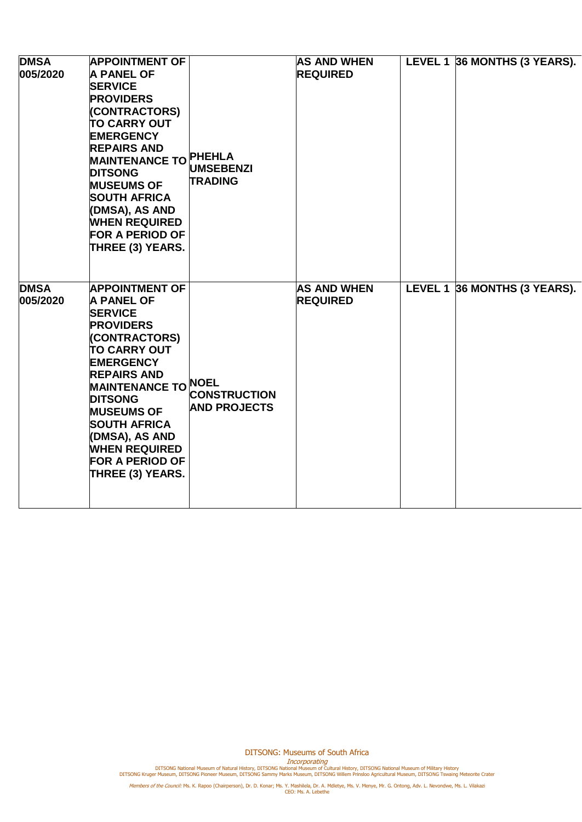| <b>DMSA</b><br>005/2020 | <b>APPOINTMENT OF</b><br><b>A PANEL OF</b><br><b>SERVICE</b><br><b>PROVIDERS</b><br>(CONTRACTORS)<br><b>TO CARRY OUT</b><br><b>EMERGENCY</b><br><b>REPAIRS AND</b><br>MAINTENANCE TO PHEHLA<br><b>DITSONG</b><br><b>MUSEUMS OF</b><br><b>SOUTH AFRICA</b><br>(DMSA), AS AND<br><b>WHEN REQUIRED</b><br><b>FOR A PERIOD OF</b><br>THREE (3) YEARS.      | <b>UMSEBENZI</b><br><b>TRADING</b>         | <b>AS AND WHEN</b><br><b>REQUIRED</b> | LEVEL 1 36 MONTHS (3 YEARS). |
|-------------------------|--------------------------------------------------------------------------------------------------------------------------------------------------------------------------------------------------------------------------------------------------------------------------------------------------------------------------------------------------------|--------------------------------------------|---------------------------------------|------------------------------|
| <b>DMSA</b><br>005/2020 | <b>APPOINTMENT OF</b><br><b>A PANEL OF</b><br><b>SERVICE</b><br><b>PROVIDERS</b><br>(CONTRACTORS)<br><b>TO CARRY OUT</b><br><b>EMERGENCY</b><br><b>REPAIRS AND</b><br><b>MAINTENANCE TO NOEL</b><br><b>DITSONG</b><br><b>MUSEUMS OF</b><br><b>SOUTH AFRICA</b><br>(DMSA), AS AND<br><b>WHEN REQUIRED</b><br><b>FOR A PERIOD OF</b><br>THREE (3) YEARS. | <b>CONSTRUCTION</b><br><b>AND PROJECTS</b> | <b>AS AND WHEN</b><br><b>REQUIRED</b> | LEVEL 1 36 MONTHS (3 YEARS). |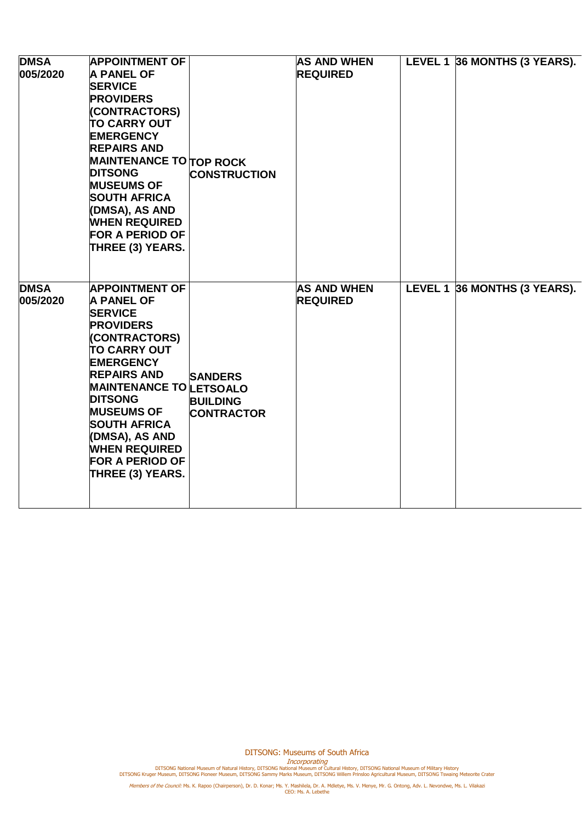| <b>DMSA</b><br>005/2020 | <b>APPOINTMENT OF</b><br><b>A PANEL OF</b><br><b>SERVICE</b><br><b>PROVIDERS</b><br>(CONTRACTORS)<br><b>TO CARRY OUT</b><br><b>EMERGENCY</b><br><b>REPAIRS AND</b><br><b>MAINTENANCE TO TOP ROCK</b><br><b>DITSONG</b><br><b>MUSEUMS OF</b><br><b>SOUTH AFRICA</b><br>(DMSA), AS AND<br><b>WHEN REQUIRED</b><br><b>FOR A PERIOD OF</b><br>THREE (3) YEARS. | <b>CONSTRUCTION</b>                                    | <b>AS AND WHEN</b><br><b>REQUIRED</b> | LEVEL 1 36 MONTHS (3 YEARS). |
|-------------------------|------------------------------------------------------------------------------------------------------------------------------------------------------------------------------------------------------------------------------------------------------------------------------------------------------------------------------------------------------------|--------------------------------------------------------|---------------------------------------|------------------------------|
| <b>DMSA</b><br>005/2020 | <b>APPOINTMENT OF</b><br><b>A PANEL OF</b><br><b>SERVICE</b><br><b>PROVIDERS</b><br>(CONTRACTORS)<br><b>TO CARRY OUT</b><br><b>EMERGENCY</b><br><b>REPAIRS AND</b><br><b>MAINTENANCE TO LETSOALO</b><br><b>DITSONG</b><br><b>MUSEUMS OF</b><br><b>SOUTH AFRICA</b><br>(DMSA), AS AND<br><b>WHEN REQUIRED</b><br><b>FOR A PERIOD OF</b><br>THREE (3) YEARS. | <b>SANDERS</b><br><b>BUILDING</b><br><b>CONTRACTOR</b> | <b>AS AND WHEN</b><br><b>REQUIRED</b> | LEVEL 1 36 MONTHS (3 YEARS). |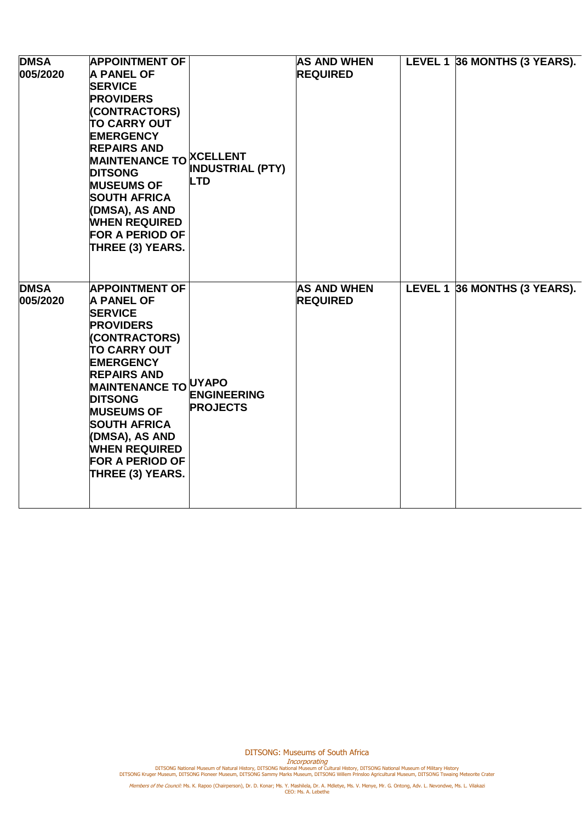| <b>DMSA</b><br>005/2020 | <b>APPOINTMENT OF</b><br><b>A PANEL OF</b><br><b>SERVICE</b><br><b>PROVIDERS</b><br>(CONTRACTORS)<br><b>TO CARRY OUT</b><br><b>EMERGENCY</b><br><b>REPAIRS AND</b><br>MAINTENANCE TO XCELLENT<br><b>DITSONG</b><br><b>MUSEUMS OF</b><br><b>SOUTH AFRICA</b><br>(DMSA), AS AND<br><b>WHEN REQUIRED</b><br><b>FOR A PERIOD OF</b><br>THREE (3) YEARS.            | <b>INDUSTRIAL (PTY)</b><br><b>LTD</b> | <b>AS AND WHEN</b><br><b>REQUIRED</b> | LEVEL 1 36 MONTHS (3 YEARS). |
|-------------------------|----------------------------------------------------------------------------------------------------------------------------------------------------------------------------------------------------------------------------------------------------------------------------------------------------------------------------------------------------------------|---------------------------------------|---------------------------------------|------------------------------|
| <b>DMSA</b><br>005/2020 | <b>APPOINTMENT OF</b><br><b>A PANEL OF</b><br><b>SERVICE</b><br><b>PROVIDERS</b><br>(CONTRACTORS)<br><b>TO CARRY OUT</b><br><b>EMERGENCY</b><br><b>REPAIRS AND</b><br><b>MAINTENANCE TO UYAPO</b><br><b>DITSONG</b><br><b>MUSEUMS OF</b><br><b>SOUTH AFRICA</b><br>(DMSA), AS AND<br><b>WHEN REQUIRED</b><br><b>FOR A PERIOD OF</b><br><b>THREE (3) YEARS.</b> | <b>ENGINEERING</b><br><b>PROJECTS</b> | <b>AS AND WHEN</b><br><b>REQUIRED</b> | LEVEL 1 36 MONTHS (3 YEARS). |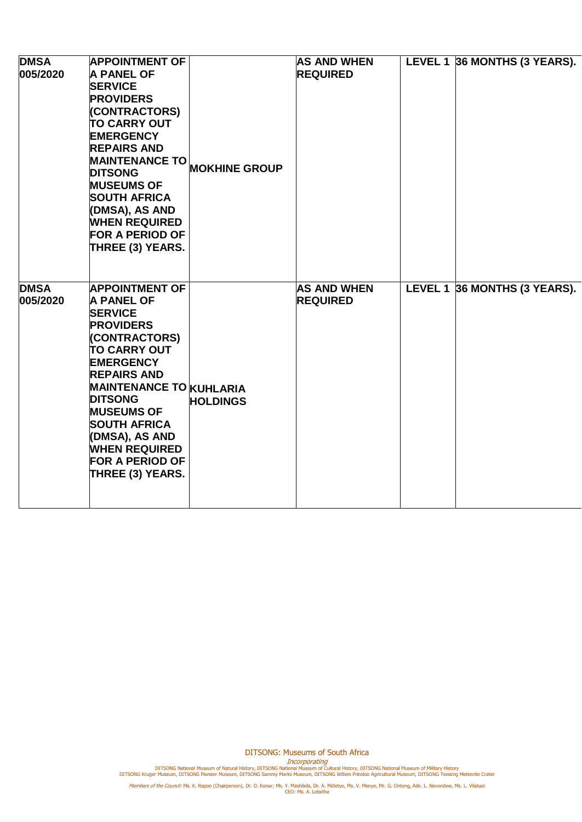| <b>DMSA</b><br>005/2020 | <b>APPOINTMENT OF</b><br><b>A PANEL OF</b><br><b>SERVICE</b><br><b>PROVIDERS</b><br>(CONTRACTORS)<br><b>TO CARRY OUT</b><br><b>EMERGENCY</b><br><b>REPAIRS AND</b><br><b>MAINTENANCE TO</b><br><b>DITSONG</b><br><b>MUSEUMS OF</b><br><b>SOUTH AFRICA</b><br>(DMSA), AS AND<br><b>WHEN REQUIRED</b><br><b>FOR A PERIOD OF</b><br>THREE (3) YEARS.          | <b>MOKHINE GROUP</b> | <b>AS AND WHEN</b><br><b>REQUIRED</b> | LEVEL 1 36 MONTHS (3 YEARS). |
|-------------------------|------------------------------------------------------------------------------------------------------------------------------------------------------------------------------------------------------------------------------------------------------------------------------------------------------------------------------------------------------------|----------------------|---------------------------------------|------------------------------|
| <b>DMSA</b><br>005/2020 | <b>APPOINTMENT OF</b><br><b>A PANEL OF</b><br><b>SERVICE</b><br><b>PROVIDERS</b><br>(CONTRACTORS)<br><b>TO CARRY OUT</b><br><b>EMERGENCY</b><br><b>REPAIRS AND</b><br><b>MAINTENANCE TO KUHLARIA</b><br><b>DITSONG</b><br><b>MUSEUMS OF</b><br><b>SOUTH AFRICA</b><br>(DMSA), AS AND<br><b>WHEN REQUIRED</b><br><b>FOR A PERIOD OF</b><br>THREE (3) YEARS. | <b>HOLDINGS</b>      | <b>AS AND WHEN</b><br><b>REQUIRED</b> | LEVEL 1 36 MONTHS (3 YEARS). |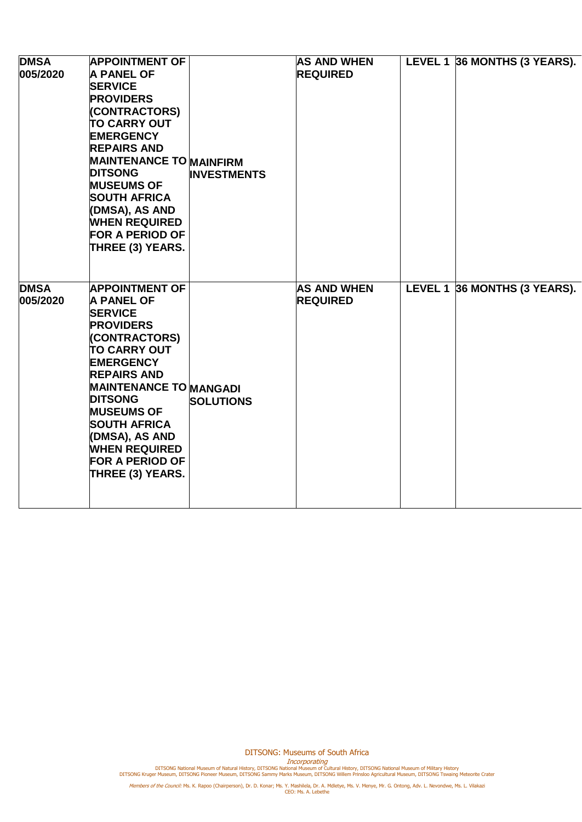| <b>DMSA</b><br>005/2020 | <b>APPOINTMENT OF</b><br><b>A PANEL OF</b><br><b>SERVICE</b><br><b>PROVIDERS</b><br>(CONTRACTORS)<br><b>TO CARRY OUT</b><br><b>EMERGENCY</b><br><b>REPAIRS AND</b><br><b>MAINTENANCE TO MAINFIRM</b><br><b>DITSONG</b><br><b>MUSEUMS OF</b><br><b>SOUTH AFRICA</b><br>(DMSA), AS AND<br><b>WHEN REQUIRED</b><br><b>FOR A PERIOD OF</b><br>THREE (3) YEARS. | <b>INVESTMENTS</b> | <b>AS AND WHEN</b><br><b>REQUIRED</b> | LEVEL 1 36 MONTHS (3 YEARS). |
|-------------------------|------------------------------------------------------------------------------------------------------------------------------------------------------------------------------------------------------------------------------------------------------------------------------------------------------------------------------------------------------------|--------------------|---------------------------------------|------------------------------|
| <b>DMSA</b><br>005/2020 | <b>APPOINTMENT OF</b><br><b>A PANEL OF</b><br><b>SERVICE</b><br><b>PROVIDERS</b><br>(CONTRACTORS)<br><b>TO CARRY OUT</b><br><b>EMERGENCY</b><br><b>REPAIRS AND</b><br><b>MAINTENANCE TO MANGADI</b><br><b>DITSONG</b><br><b>MUSEUMS OF</b><br><b>SOUTH AFRICA</b><br>(DMSA), AS AND<br><b>WHEN REQUIRED</b><br><b>FOR A PERIOD OF</b><br>THREE (3) YEARS.  | <b>SOLUTIONS</b>   | <b>AS AND WHEN</b><br><b>REQUIRED</b> | LEVEL 1 36 MONTHS (3 YEARS). |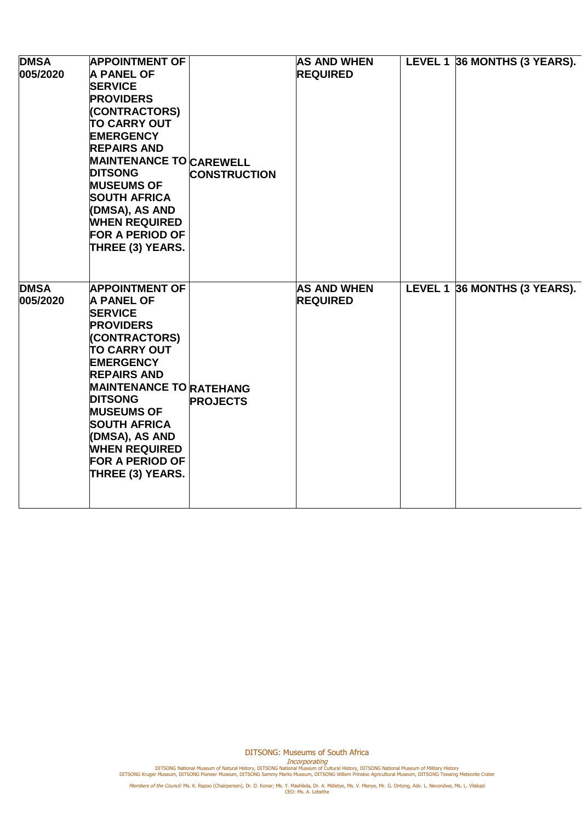| <b>DMSA</b><br>005/2020 | <b>APPOINTMENT OF</b><br><b>A PANEL OF</b><br><b>SERVICE</b><br><b>PROVIDERS</b><br>(CONTRACTORS)<br><b>TO CARRY OUT</b><br><b>EMERGENCY</b><br><b>REPAIRS AND</b><br><b>MAINTENANCE TO CAREWELL</b><br><b>DITSONG</b><br><b>MUSEUMS OF</b><br><b>SOUTH AFRICA</b><br>(DMSA), AS AND<br><b>WHEN REQUIRED</b><br><b>FOR A PERIOD OF</b><br>THREE (3) YEARS. | <b>CONSTRUCTION</b> | <b>AS AND WHEN</b><br><b>REQUIRED</b> | LEVEL 1 36 MONTHS (3 YEARS). |
|-------------------------|------------------------------------------------------------------------------------------------------------------------------------------------------------------------------------------------------------------------------------------------------------------------------------------------------------------------------------------------------------|---------------------|---------------------------------------|------------------------------|
| <b>DMSA</b><br>005/2020 | <b>APPOINTMENT OF</b><br><b>A PANEL OF</b><br><b>SERVICE</b><br><b>PROVIDERS</b><br>(CONTRACTORS)<br><b>TO CARRY OUT</b><br><b>EMERGENCY</b><br><b>REPAIRS AND</b><br><b>MAINTENANCE TO RATEHANG</b><br><b>DITSONG</b><br><b>MUSEUMS OF</b><br><b>SOUTH AFRICA</b><br>(DMSA), AS AND<br><b>WHEN REQUIRED</b><br><b>FOR A PERIOD OF</b><br>THREE (3) YEARS. | <b>PROJECTS</b>     | <b>AS AND WHEN</b><br><b>REQUIRED</b> | LEVEL 1 36 MONTHS (3 YEARS). |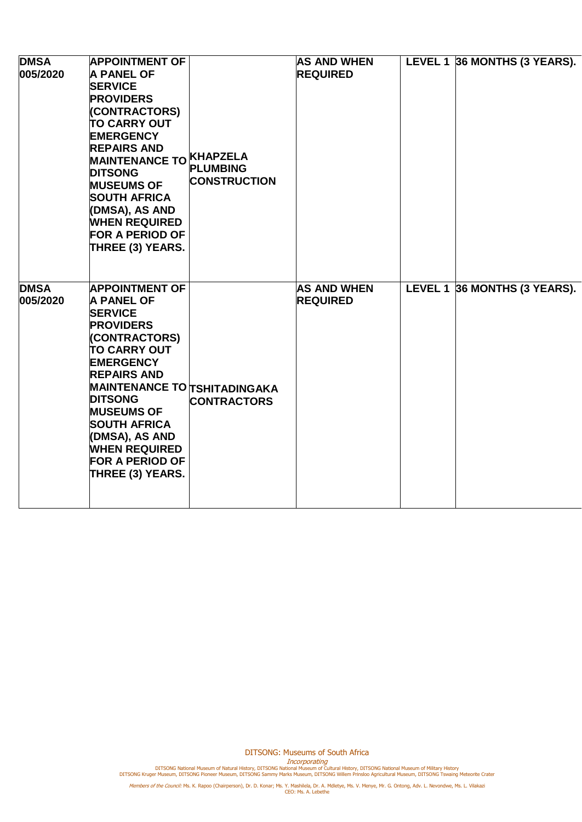| <b>DMSA</b><br>005/2020 | <b>APPOINTMENT OF</b><br><b>A PANEL OF</b><br><b>SERVICE</b><br><b>PROVIDERS</b><br>(CONTRACTORS)<br><b>TO CARRY OUT</b><br><b>EMERGENCY</b><br><b>REPAIRS AND</b><br>MAINTENANCE TO KHAPZELA<br><b>DITSONG</b><br><b>MUSEUMS OF</b><br><b>SOUTH AFRICA</b><br>(DMSA), AS AND<br><b>WHEN REQUIRED</b><br><b>FOR A PERIOD OF</b><br>THREE (3) YEARS.             | <b>PLUMBING</b><br><b>CONSTRUCTION</b> | <b>AS AND WHEN</b><br><b>REQUIRED</b> | LEVEL 1 36 MONTHS (3 YEARS). |
|-------------------------|-----------------------------------------------------------------------------------------------------------------------------------------------------------------------------------------------------------------------------------------------------------------------------------------------------------------------------------------------------------------|----------------------------------------|---------------------------------------|------------------------------|
| <b>DMSA</b><br>005/2020 | <b>APPOINTMENT OF</b><br><b>A PANEL OF</b><br><b>SERVICE</b><br><b>PROVIDERS</b><br>(CONTRACTORS)<br><b>TO CARRY OUT</b><br><b>EMERGENCY</b><br><b>REPAIRS AND</b><br><b>MAINTENANCE TO TSHITADINGAKA</b><br><b>DITSONG</b><br><b>MUSEUMS OF</b><br><b>SOUTH AFRICA</b><br>(DMSA), AS AND<br><b>WHEN REQUIRED</b><br><b>FOR A PERIOD OF</b><br>THREE (3) YEARS. | <b>CONTRACTORS</b>                     | <b>AS AND WHEN</b><br><b>REQUIRED</b> | LEVEL 1 36 MONTHS (3 YEARS). |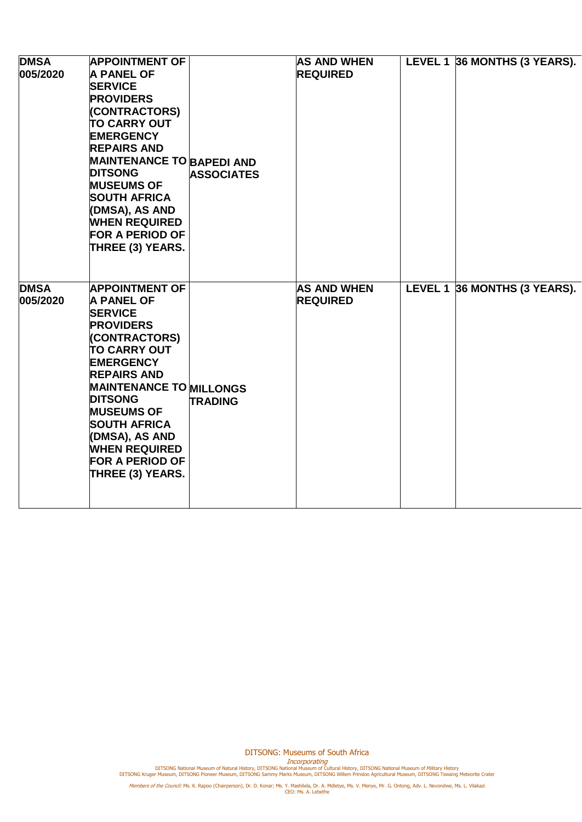| <b>DMSA</b><br>005/2020 | <b>APPOINTMENT OF</b><br><b>A PANEL OF</b><br><b>SERVICE</b><br><b>PROVIDERS</b><br>(CONTRACTORS)<br><b>TO CARRY OUT</b><br><b>EMERGENCY</b><br><b>REPAIRS AND</b><br><b>MAINTENANCE TO BAPEDI AND</b><br><b>DITSONG</b><br><b>MUSEUMS OF</b><br><b>SOUTH AFRICA</b><br>(DMSA), AS AND<br><b>WHEN REQUIRED</b><br><b>FOR A PERIOD OF</b><br>THREE (3) YEARS. | <b>ASSOCIATES</b> | <b>AS AND WHEN</b><br><b>REQUIRED</b> | LEVEL 1 36 MONTHS (3 YEARS). |
|-------------------------|--------------------------------------------------------------------------------------------------------------------------------------------------------------------------------------------------------------------------------------------------------------------------------------------------------------------------------------------------------------|-------------------|---------------------------------------|------------------------------|
| <b>DMSA</b><br>005/2020 | <b>APPOINTMENT OF</b><br><b>A PANEL OF</b><br><b>SERVICE</b><br><b>PROVIDERS</b><br>(CONTRACTORS)<br><b>TO CARRY OUT</b><br><b>EMERGENCY</b><br><b>REPAIRS AND</b><br><b>MAINTENANCE TO MILLONGS</b><br><b>DITSONG</b><br><b>MUSEUMS OF</b><br><b>SOUTH AFRICA</b><br>(DMSA), AS AND<br><b>WHEN REQUIRED</b><br><b>FOR A PERIOD OF</b><br>THREE (3) YEARS.   | <b>TRADING</b>    | <b>AS AND WHEN</b><br><b>REQUIRED</b> | LEVEL 1 36 MONTHS (3 YEARS). |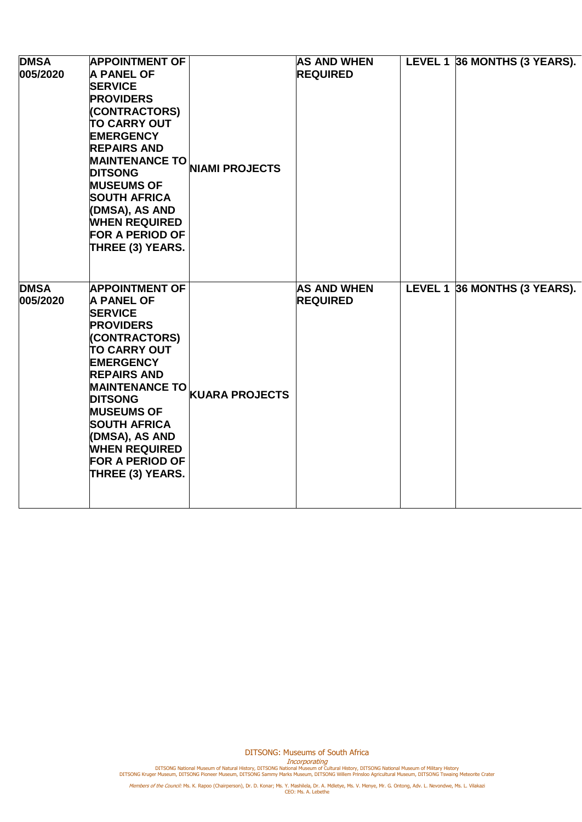| <b>DMSA</b><br>005/2020 | <b>APPOINTMENT OF</b><br><b>A PANEL OF</b><br><b>SERVICE</b><br><b>PROVIDERS</b><br>(CONTRACTORS)<br><b>TO CARRY OUT</b><br><b>EMERGENCY</b><br><b>REPAIRS AND</b><br><b>MAINTENANCE TO</b><br><b>DITSONG</b><br><b>MUSEUMS OF</b><br><b>SOUTH AFRICA</b><br>(DMSA), AS AND<br><b>WHEN REQUIRED</b><br><b>FOR A PERIOD OF</b><br><b>THREE (3) YEARS.</b> | <b>NIAMI PROJECTS</b>         | <b>AS AND WHEN</b><br><b>REQUIRED</b> | LEVEL 1 36 MONTHS (3 YEARS). |
|-------------------------|----------------------------------------------------------------------------------------------------------------------------------------------------------------------------------------------------------------------------------------------------------------------------------------------------------------------------------------------------------|-------------------------------|---------------------------------------|------------------------------|
| <b>DMSA</b><br>005/2020 | <b>APPOINTMENT OF</b><br><b>A PANEL OF</b><br><b>SERVICE</b><br><b>PROVIDERS</b><br>(CONTRACTORS)<br><b>TO CARRY OUT</b><br><b>EMERGENCY</b><br><b>REPAIRS AND</b><br><b>MUSEUMS OF</b><br><b>SOUTH AFRICA</b><br>(DMSA), AS AND<br><b>WHEN REQUIRED</b><br><b>FOR A PERIOD OF</b><br>THREE (3) YEARS.                                                   | MAINTENANCE TO KUARA PROJECTS | <b>AS AND WHEN</b><br><b>REQUIRED</b> | LEVEL 1 36 MONTHS (3 YEARS). |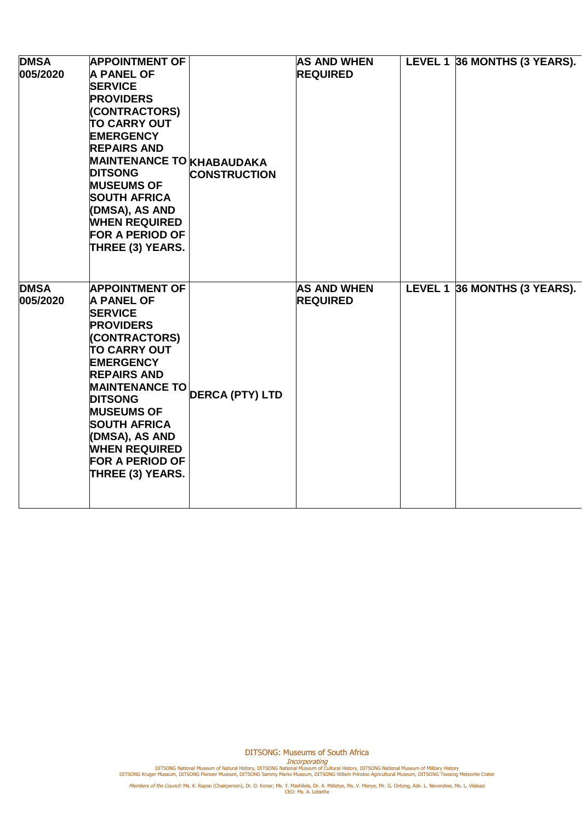| <b>DMSA</b><br>005/2020 | <b>APPOINTMENT OF</b><br><b>A PANEL OF</b><br><b>SERVICE</b><br><b>PROVIDERS</b><br>(CONTRACTORS)<br><b>TO CARRY OUT</b><br><b>EMERGENCY</b><br><b>REPAIRS AND</b><br><b>MAINTENANCE TO KHABAUDAKA</b><br><b>DITSONG</b><br><b>MUSEUMS OF</b><br><b>SOUTH AFRICA</b><br>(DMSA), AS AND<br><b>WHEN REQUIRED</b><br><b>FOR A PERIOD OF</b><br>THREE (3) YEARS. | <b>CONSTRUCTION</b>    | <b>AS AND WHEN</b><br><b>REQUIRED</b> | LEVEL 1 36 MONTHS (3 YEARS). |
|-------------------------|--------------------------------------------------------------------------------------------------------------------------------------------------------------------------------------------------------------------------------------------------------------------------------------------------------------------------------------------------------------|------------------------|---------------------------------------|------------------------------|
| <b>DMSA</b><br>005/2020 | <b>APPOINTMENT OF</b><br><b>A PANEL OF</b><br><b>SERVICE</b><br><b>PROVIDERS</b><br>(CONTRACTORS)<br><b>TO CARRY OUT</b><br><b>EMERGENCY</b><br><b>REPAIRS AND</b><br><b>MAINTENANCE TO</b><br><b>DITSONG</b><br><b>MUSEUMS OF</b><br><b>SOUTH AFRICA</b><br>(DMSA), AS AND<br><b>WHEN REQUIRED</b><br><b>FOR A PERIOD OF</b><br>THREE (3) YEARS.            | <b>DERCA (PTY) LTD</b> | <b>AS AND WHEN</b><br><b>REQUIRED</b> | LEVEL 1 36 MONTHS (3 YEARS). |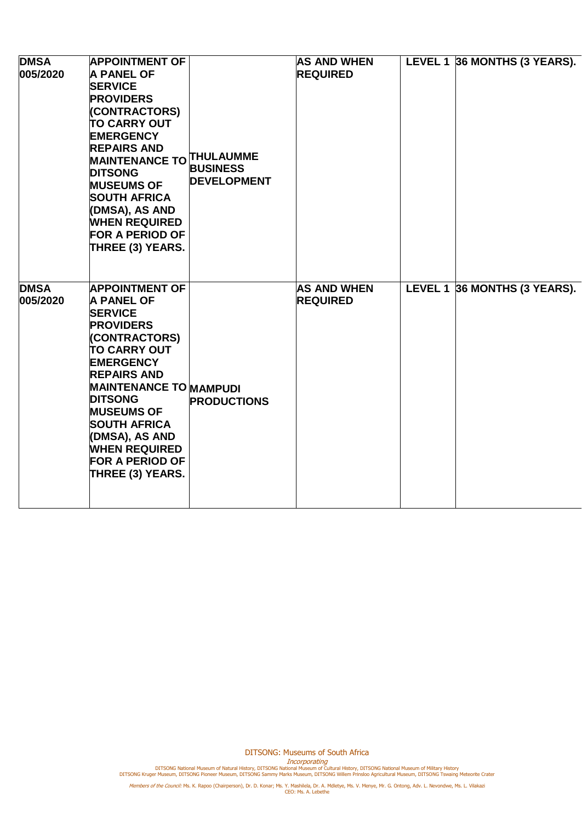| <b>DMSA</b><br>005/2020 | <b>APPOINTMENT OF</b><br><b>A PANEL OF</b><br><b>SERVICE</b><br><b>PROVIDERS</b><br>(CONTRACTORS)<br><b>TO CARRY OUT</b><br><b>EMERGENCY</b><br><b>REPAIRS AND</b><br>MAINTENANCE TO THULAUMME<br><b>DITSONG</b><br><b>MUSEUMS OF</b><br><b>SOUTH AFRICA</b><br>(DMSA), AS AND<br><b>WHEN REQUIRED</b><br><b>FOR A PERIOD OF</b><br>THREE (3) YEARS.      | <b>BUSINESS</b><br><b>DEVELOPMENT</b> | <b>AS AND WHEN</b><br><b>REQUIRED</b> | LEVEL 1 36 MONTHS (3 YEARS). |
|-------------------------|-----------------------------------------------------------------------------------------------------------------------------------------------------------------------------------------------------------------------------------------------------------------------------------------------------------------------------------------------------------|---------------------------------------|---------------------------------------|------------------------------|
| <b>DMSA</b><br>005/2020 | <b>APPOINTMENT OF</b><br><b>A PANEL OF</b><br><b>SERVICE</b><br><b>PROVIDERS</b><br>(CONTRACTORS)<br><b>TO CARRY OUT</b><br><b>EMERGENCY</b><br><b>REPAIRS AND</b><br><b>MAINTENANCE TO MAMPUDI</b><br><b>DITSONG</b><br><b>MUSEUMS OF</b><br><b>SOUTH AFRICA</b><br>(DMSA), AS AND<br><b>WHEN REQUIRED</b><br><b>FOR A PERIOD OF</b><br>THREE (3) YEARS. | <b>PRODUCTIONS</b>                    | <b>AS AND WHEN</b><br><b>REQUIRED</b> | LEVEL 1 36 MONTHS (3 YEARS). |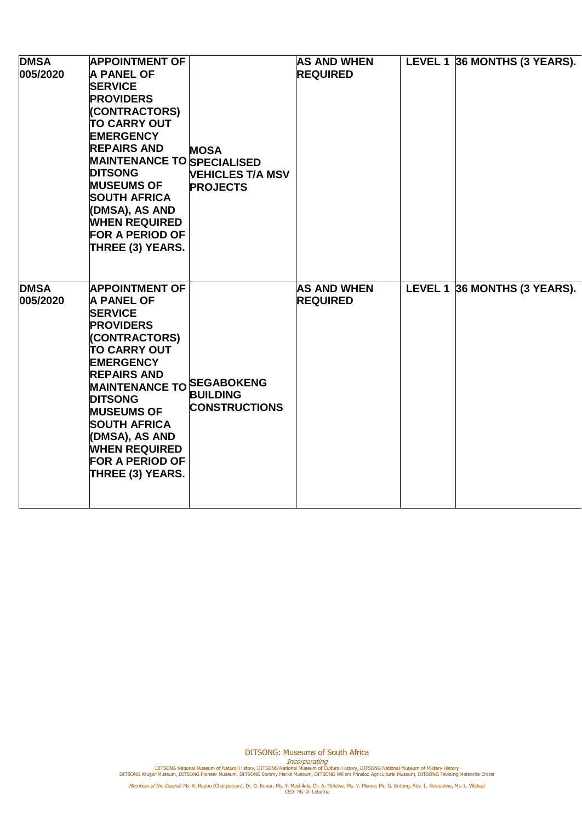| <b>DMSA</b><br>005/2020 | <b>APPOINTMENT OF</b><br><b>A PANEL OF</b><br><b>SERVICE</b><br><b>PROVIDERS</b><br>(CONTRACTORS)<br><b>TO CARRY OUT</b><br><b>EMERGENCY</b><br><b>REPAIRS AND</b><br><b>MAINTENANCE TO SPECIALISED</b><br><b>DITSONG</b><br><b>MUSEUMS OF</b><br><b>SOUTH AFRICA</b><br>(DMSA), AS AND<br><b>WHEN REQUIRED</b><br><b>FOR A PERIOD OF</b><br><b>THREE (3) YEARS.</b> | <b>MOSA</b><br><b>VEHICLES T/A MSV</b><br><b>PROJECTS</b> | <b>AS AND WHEN</b><br><b>REQUIRED</b> | LEVEL 1 36 MONTHS (3 YEARS). |
|-------------------------|----------------------------------------------------------------------------------------------------------------------------------------------------------------------------------------------------------------------------------------------------------------------------------------------------------------------------------------------------------------------|-----------------------------------------------------------|---------------------------------------|------------------------------|
| <b>DMSA</b><br>005/2020 | <b>APPOINTMENT OF</b><br><b>A PANEL OF</b><br><b>SERVICE</b><br><b>PROVIDERS</b><br>(CONTRACTORS)<br><b>TO CARRY OUT</b><br><b>EMERGENCY</b><br><b>REPAIRS AND</b><br><b>MAINTENANCE TO SEGABOKENG</b><br><b>DITSONG</b><br><b>MUSEUMS OF</b><br><b>SOUTH AFRICA</b><br>(DMSA), AS AND<br><b>WHEN REQUIRED</b><br><b>FOR A PERIOD OF</b><br><b>THREE (3) YEARS.</b>  | <b>BUILDING</b><br><b>CONSTRUCTIONS</b>                   | <b>AS AND WHEN</b><br><b>REQUIRED</b> | LEVEL 1 36 MONTHS (3 YEARS). |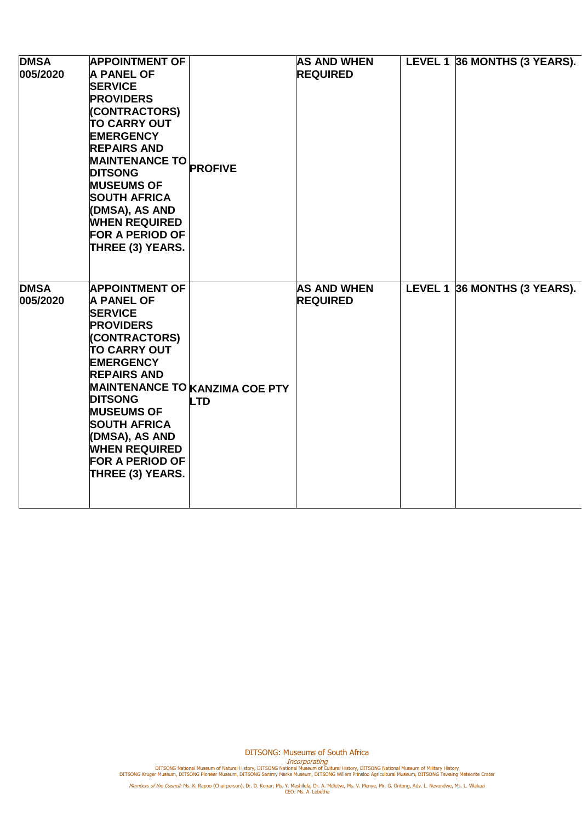| <b>DMSA</b><br>005/2020 | <b>APPOINTMENT OF</b><br><b>A PANEL OF</b><br><b>SERVICE</b><br><b>PROVIDERS</b><br>(CONTRACTORS)<br><b>TO CARRY OUT</b><br><b>EMERGENCY</b><br><b>REPAIRS AND</b><br>MAINTENANCE TO PROFIVE<br><b>DITSONG</b><br><b>MUSEUMS OF</b><br><b>SOUTH AFRICA</b><br>(DMSA), AS AND<br><b>WHEN REQUIRED</b><br><b>FOR A PERIOD OF</b><br>THREE (3) YEARS. |                                                     | <b>AS AND WHEN</b><br><b>REQUIRED</b> | LEVEL 1 36 MONTHS (3 YEARS). |
|-------------------------|----------------------------------------------------------------------------------------------------------------------------------------------------------------------------------------------------------------------------------------------------------------------------------------------------------------------------------------------------|-----------------------------------------------------|---------------------------------------|------------------------------|
| <b>DMSA</b><br>005/2020 | <b>APPOINTMENT OF</b><br><b>A PANEL OF</b><br><b>SERVICE</b><br><b>PROVIDERS</b><br>(CONTRACTORS)<br><b>TO CARRY OUT</b><br><b>EMERGENCY</b><br><b>REPAIRS AND</b><br><b>DITSONG</b><br><b>MUSEUMS OF</b><br><b>SOUTH AFRICA</b><br>(DMSA), AS AND<br><b>WHEN REQUIRED</b><br><b>FOR A PERIOD OF</b><br>THREE (3) YEARS.                           | <b>MAINTENANCE TO KANZIMA COE PTY</b><br><b>LTD</b> | <b>AS AND WHEN</b><br><b>REQUIRED</b> | LEVEL 1 36 MONTHS (3 YEARS). |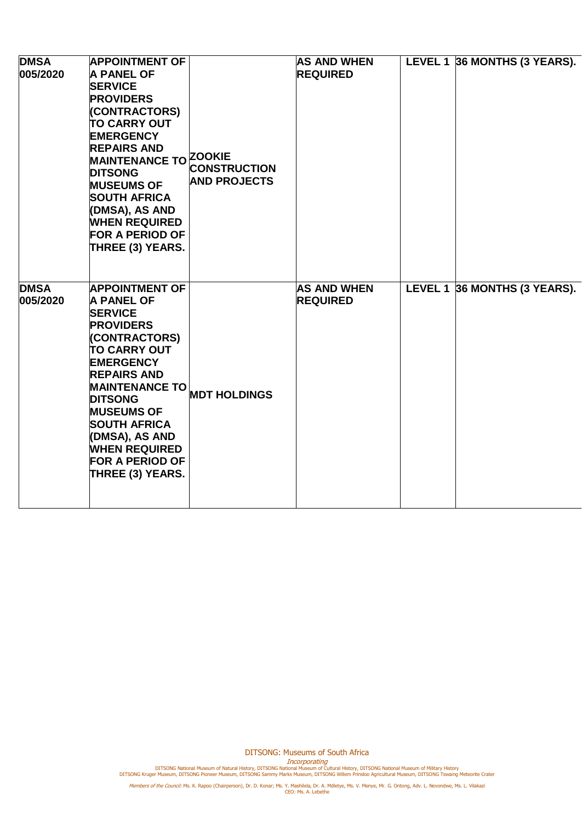| <b>DMSA</b><br>005/2020 | <b>APPOINTMENT OF</b><br><b>A PANEL OF</b><br><b>SERVICE</b><br><b>PROVIDERS</b><br>(CONTRACTORS)<br><b>TO CARRY OUT</b><br><b>EMERGENCY</b><br><b>REPAIRS AND</b><br>MAINTENANCE TO ZOOKIE<br><b>DITSONG</b><br><b>MUSEUMS OF</b><br><b>SOUTH AFRICA</b><br>(DMSA), AS AND<br><b>WHEN REQUIRED</b><br><b>FOR A PERIOD OF</b><br><b>THREE (3) YEARS.</b> | <b>CONSTRUCTION</b><br><b>AND PROJECTS</b> | <b>AS AND WHEN</b><br><b>REQUIRED</b> | LEVEL 1 36 MONTHS (3 YEARS). |
|-------------------------|----------------------------------------------------------------------------------------------------------------------------------------------------------------------------------------------------------------------------------------------------------------------------------------------------------------------------------------------------------|--------------------------------------------|---------------------------------------|------------------------------|
| <b>DMSA</b><br>005/2020 | <b>APPOINTMENT OF</b><br><b>A PANEL OF</b><br><b>SERVICE</b><br><b>PROVIDERS</b><br>(CONTRACTORS)<br><b>TO CARRY OUT</b><br><b>EMERGENCY</b><br><b>REPAIRS AND</b><br><b>MAINTENANCE TO</b><br><b>DITSONG</b><br><b>MUSEUMS OF</b><br><b>SOUTH AFRICA</b><br>(DMSA), AS AND<br><b>WHEN REQUIRED</b><br><b>FOR A PERIOD OF</b><br>THREE (3) YEARS.        | <b>MDT HOLDINGS</b>                        | <b>AS AND WHEN</b><br><b>REQUIRED</b> | LEVEL 1 36 MONTHS (3 YEARS). |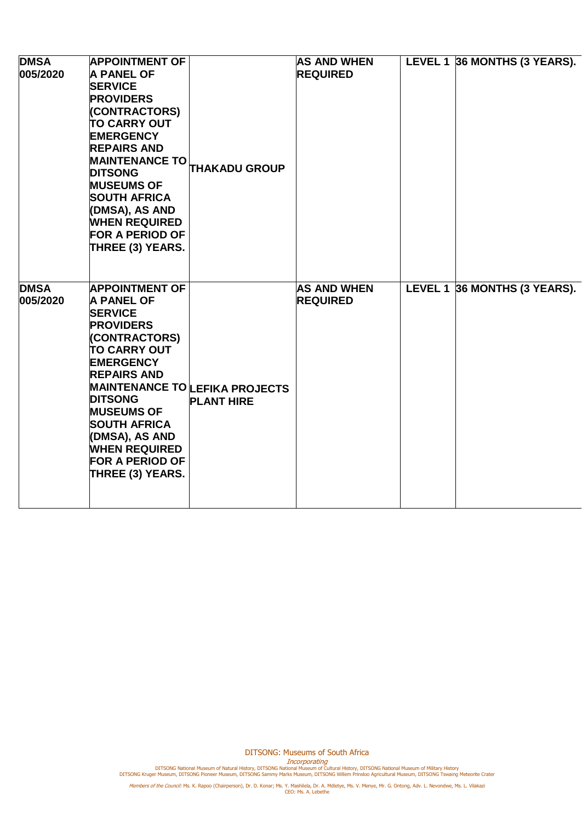| <b>DMSA</b><br>005/2020 | <b>APPOINTMENT OF</b><br><b>A PANEL OF</b><br><b>SERVICE</b><br><b>PROVIDERS</b><br>(CONTRACTORS)<br><b>TO CARRY OUT</b><br><b>EMERGENCY</b><br><b>REPAIRS AND</b><br><b>MAINTENANCE TO</b><br><b>DITSONG</b><br><b>MUSEUMS OF</b><br><b>SOUTH AFRICA</b><br>(DMSA), AS AND<br><b>WHEN REQUIRED</b><br><b>FOR A PERIOD OF</b><br>THREE (3) YEARS. | <b>THAKADU GROUP</b>                                       | <b>AS AND WHEN</b><br><b>REQUIRED</b> | LEVEL 1 36 MONTHS (3 YEARS). |
|-------------------------|---------------------------------------------------------------------------------------------------------------------------------------------------------------------------------------------------------------------------------------------------------------------------------------------------------------------------------------------------|------------------------------------------------------------|---------------------------------------|------------------------------|
| <b>DMSA</b><br>005/2020 | <b>APPOINTMENT OF</b><br><b>A PANEL OF</b><br><b>SERVICE</b><br><b>PROVIDERS</b><br>(CONTRACTORS)<br><b>TO CARRY OUT</b><br><b>EMERGENCY</b><br><b>REPAIRS AND</b><br><b>DITSONG</b><br><b>MUSEUMS OF</b><br><b>SOUTH AFRICA</b><br>(DMSA), AS AND<br><b>WHEN REQUIRED</b><br><b>FOR A PERIOD OF</b><br>THREE (3) YEARS.                          | <b>MAINTENANCE TO LEFIKA PROJECTS</b><br><b>PLANT HIRE</b> | <b>AS AND WHEN</b><br><b>REQUIRED</b> | LEVEL 1 36 MONTHS (3 YEARS). |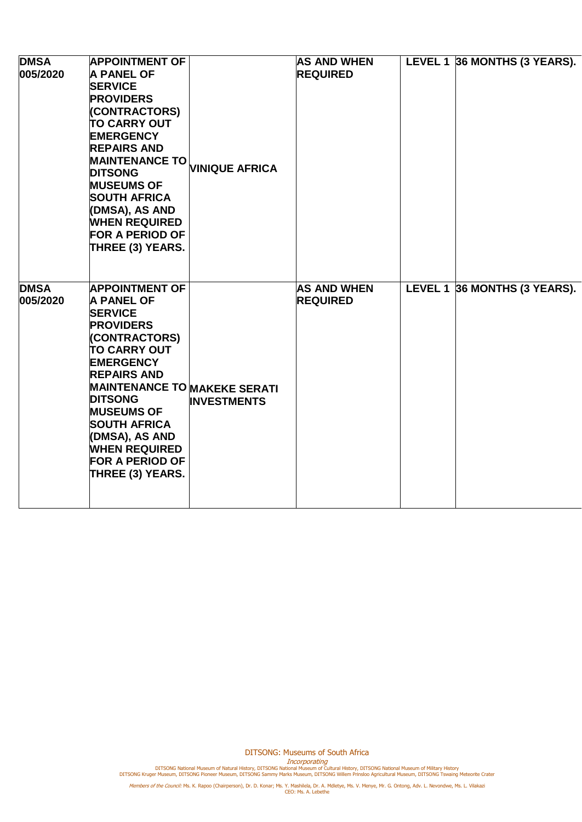| <b>DMSA</b><br>005/2020 | <b>APPOINTMENT OF</b><br><b>A PANEL OF</b><br><b>SERVICE</b><br><b>PROVIDERS</b><br>(CONTRACTORS)<br><b>TO CARRY OUT</b><br><b>EMERGENCY</b><br><b>REPAIRS AND</b><br><b>MAINTENANCE TO</b><br><b>DITSONG</b><br><b>MUSEUMS OF</b><br><b>SOUTH AFRICA</b><br>(DMSA), AS AND<br><b>WHEN REQUIRED</b><br><b>FOR A PERIOD OF</b><br>THREE (3) YEARS.               | <b>VINIQUE AFRICA</b> | <b>AS AND WHEN</b><br><b>REQUIRED</b> | LEVEL 1 36 MONTHS (3 YEARS). |
|-------------------------|-----------------------------------------------------------------------------------------------------------------------------------------------------------------------------------------------------------------------------------------------------------------------------------------------------------------------------------------------------------------|-----------------------|---------------------------------------|------------------------------|
| <b>DMSA</b><br>005/2020 | <b>APPOINTMENT OF</b><br><b>A PANEL OF</b><br><b>SERVICE</b><br><b>PROVIDERS</b><br>(CONTRACTORS)<br><b>TO CARRY OUT</b><br><b>EMERGENCY</b><br><b>REPAIRS AND</b><br><b>MAINTENANCE TO MAKEKE SERATI</b><br><b>DITSONG</b><br><b>MUSEUMS OF</b><br><b>SOUTH AFRICA</b><br>(DMSA), AS AND<br><b>WHEN REQUIRED</b><br><b>FOR A PERIOD OF</b><br>THREE (3) YEARS. | <b>INVESTMENTS</b>    | <b>AS AND WHEN</b><br><b>REQUIRED</b> | LEVEL 1 36 MONTHS (3 YEARS). |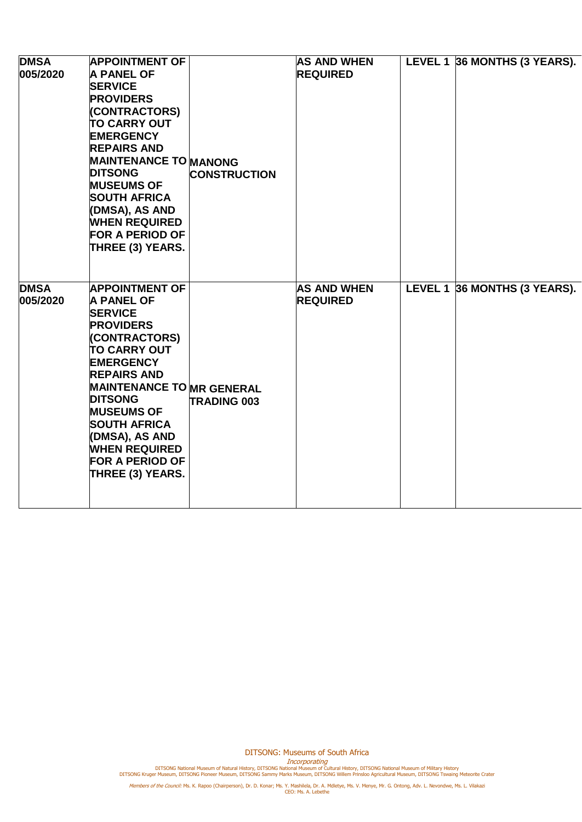| <b>DMSA</b><br>005/2020 | <b>APPOINTMENT OF</b><br><b>A PANEL OF</b><br><b>SERVICE</b><br><b>PROVIDERS</b><br>(CONTRACTORS)<br><b>TO CARRY OUT</b><br><b>EMERGENCY</b><br><b>REPAIRS AND</b><br><b>MAINTENANCE TO MANONG</b><br><b>DITSONG</b><br><b>MUSEUMS OF</b><br><b>SOUTH AFRICA</b><br>(DMSA), AS AND<br><b>WHEN REQUIRED</b><br><b>FOR A PERIOD OF</b><br>THREE (3) YEARS.     | <b>CONSTRUCTION</b> | <b>AS AND WHEN</b><br><b>REQUIRED</b> | LEVEL 1 36 MONTHS (3 YEARS). |
|-------------------------|--------------------------------------------------------------------------------------------------------------------------------------------------------------------------------------------------------------------------------------------------------------------------------------------------------------------------------------------------------------|---------------------|---------------------------------------|------------------------------|
| <b>DMSA</b><br>005/2020 | <b>APPOINTMENT OF</b><br><b>A PANEL OF</b><br><b>SERVICE</b><br><b>PROVIDERS</b><br>(CONTRACTORS)<br><b>TO CARRY OUT</b><br><b>EMERGENCY</b><br><b>REPAIRS AND</b><br><b>MAINTENANCE TO MR GENERAL</b><br><b>DITSONG</b><br><b>MUSEUMS OF</b><br><b>SOUTH AFRICA</b><br>(DMSA), AS AND<br><b>WHEN REQUIRED</b><br><b>FOR A PERIOD OF</b><br>THREE (3) YEARS. | <b>TRADING 003</b>  | <b>AS AND WHEN</b><br><b>REQUIRED</b> | LEVEL 1 36 MONTHS (3 YEARS). |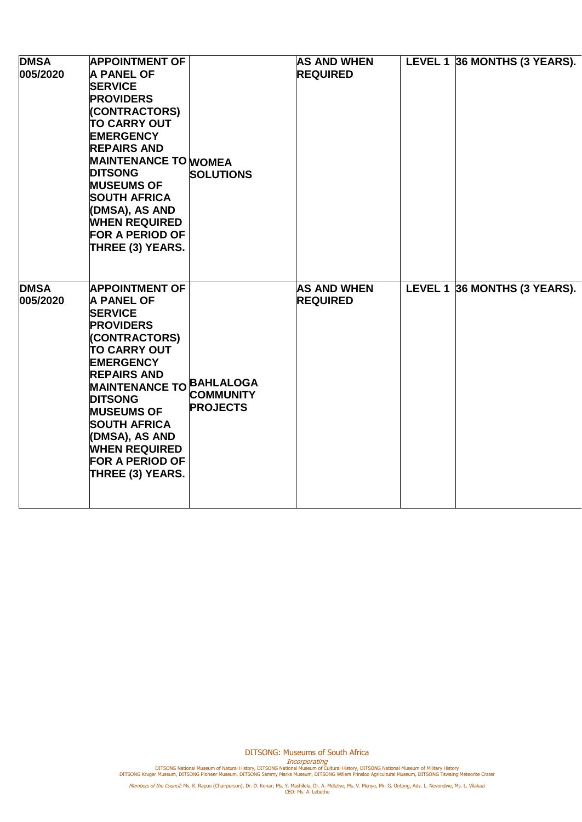| <b>DMSA</b><br>005/2020 | <b>APPOINTMENT OF</b><br><b>A PANEL OF</b><br><b>SERVICE</b><br><b>PROVIDERS</b><br>(CONTRACTORS)<br><b>TO CARRY OUT</b><br><b>EMERGENCY</b><br><b>REPAIRS AND</b><br><b>MAINTENANCE TO WOMEA</b><br><b>DITSONG</b><br><b>MUSEUMS OF</b><br><b>SOUTH AFRICA</b><br>(DMSA), AS AND<br><b>WHEN REQUIRED</b><br><b>FOR A PERIOD OF</b><br>THREE (3) YEARS. | <b>SOLUTIONS</b>                    | <b>AS AND WHEN</b><br><b>REQUIRED</b> | LEVEL 1 36 MONTHS (3 YEARS). |
|-------------------------|---------------------------------------------------------------------------------------------------------------------------------------------------------------------------------------------------------------------------------------------------------------------------------------------------------------------------------------------------------|-------------------------------------|---------------------------------------|------------------------------|
| <b>DMSA</b><br>005/2020 | <b>APPOINTMENT OF</b><br><b>A PANEL OF</b><br><b>SERVICE</b><br><b>PROVIDERS</b><br>(CONTRACTORS)<br><b>TO CARRY OUT</b><br><b>EMERGENCY</b><br><b>REPAIRS AND</b><br>MAINTENANCE TO BAHLALOGA<br><b>DITSONG</b><br><b>MUSEUMS OF</b><br><b>SOUTH AFRICA</b><br>(DMSA), AS AND<br><b>WHEN REQUIRED</b><br><b>FOR A PERIOD OF</b><br>THREE (3) YEARS.    | <b>COMMUNITY</b><br><b>PROJECTS</b> | <b>AS AND WHEN</b><br><b>REQUIRED</b> | LEVEL 1 36 MONTHS (3 YEARS). |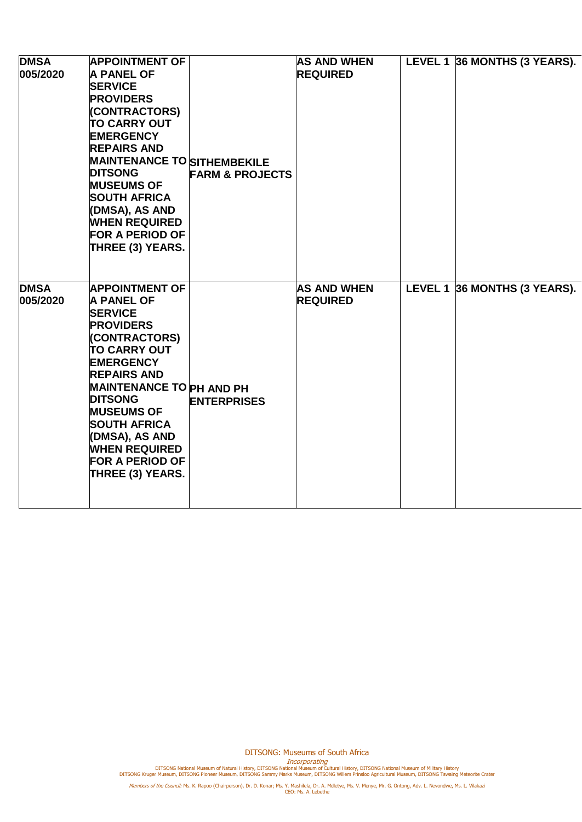| <b>DMSA</b><br>005/2020 | <b>APPOINTMENT OF</b><br><b>A PANEL OF</b><br><b>SERVICE</b><br><b>PROVIDERS</b><br>(CONTRACTORS)<br><b>TO CARRY OUT</b><br><b>EMERGENCY</b><br><b>REPAIRS AND</b><br><b>MAINTENANCE TO SITHEMBEKILE</b><br><b>DITSONG</b><br><b>MUSEUMS OF</b><br><b>SOUTH AFRICA</b><br>(DMSA), AS AND<br><b>WHEN REQUIRED</b><br><b>FOR A PERIOD OF</b><br>THREE (3) YEARS. | <b>FARM &amp; PROJECTS</b> | <b>AS AND WHEN</b><br><b>REQUIRED</b> | LEVEL 1 36 MONTHS (3 YEARS). |
|-------------------------|----------------------------------------------------------------------------------------------------------------------------------------------------------------------------------------------------------------------------------------------------------------------------------------------------------------------------------------------------------------|----------------------------|---------------------------------------|------------------------------|
| <b>DMSA</b><br>005/2020 | <b>APPOINTMENT OF</b><br><b>A PANEL OF</b><br><b>SERVICE</b><br><b>PROVIDERS</b><br>(CONTRACTORS)<br><b>TO CARRY OUT</b><br><b>EMERGENCY</b><br><b>REPAIRS AND</b><br><b>MAINTENANCE TO PH AND PH</b><br><b>DITSONG</b><br><b>MUSEUMS OF</b><br><b>SOUTH AFRICA</b><br>(DMSA), AS AND<br><b>WHEN REQUIRED</b><br><b>FOR A PERIOD OF</b><br>THREE (3) YEARS.    | <b>ENTERPRISES</b>         | <b>AS AND WHEN</b><br><b>REQUIRED</b> | LEVEL 1 36 MONTHS (3 YEARS). |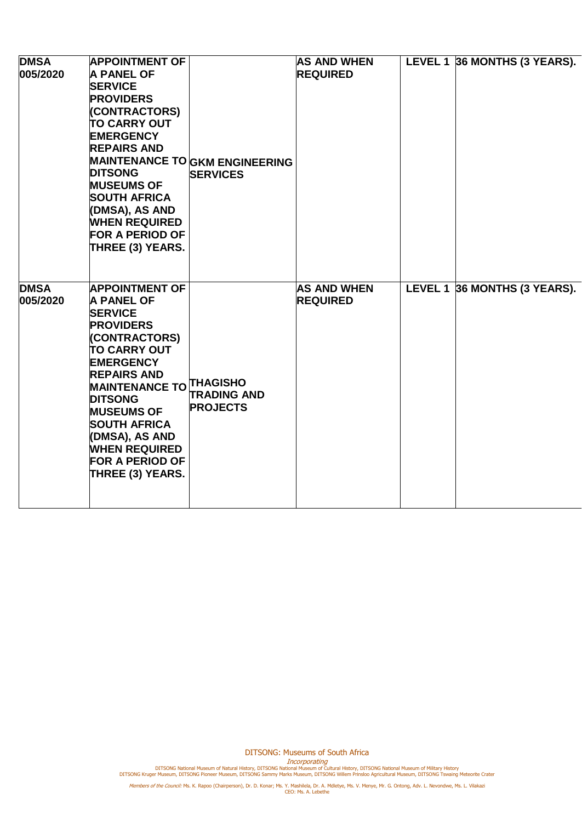| <b>DMSA</b><br>005/2020 | <b>APPOINTMENT OF</b><br><b>A PANEL OF</b><br><b>SERVICE</b><br><b>PROVIDERS</b><br>(CONTRACTORS)<br><b>TO CARRY OUT</b><br><b>EMERGENCY</b><br><b>REPAIRS AND</b><br><b>DITSONG</b><br><b>MUSEUMS OF</b><br><b>SOUTH AFRICA</b><br>(DMSA), AS AND<br><b>WHEN REQUIRED</b><br><b>FOR A PERIOD OF</b><br><b>THREE (3) YEARS.</b>                                   | <b>MAINTENANCE TO GKM ENGINEERING</b><br><b>SERVICES</b> | <b>AS AND WHEN</b><br><b>REQUIRED</b> | LEVEL 1 36 MONTHS (3 YEARS). |
|-------------------------|-------------------------------------------------------------------------------------------------------------------------------------------------------------------------------------------------------------------------------------------------------------------------------------------------------------------------------------------------------------------|----------------------------------------------------------|---------------------------------------|------------------------------|
| <b>DMSA</b><br>005/2020 | <b>APPOINTMENT OF</b><br><b>A PANEL OF</b><br><b>SERVICE</b><br><b>PROVIDERS</b><br>(CONTRACTORS)<br><b>TO CARRY OUT</b><br><b>EMERGENCY</b><br><b>REPAIRS AND</b><br><b>MAINTENANCE TO THAGISHO</b><br><b>DITSONG</b><br><b>MUSEUMS OF</b><br><b>SOUTH AFRICA</b><br>(DMSA), AS AND<br><b>WHEN REQUIRED</b><br><b>FOR A PERIOD OF</b><br><b>THREE (3) YEARS.</b> | <b>TRADING AND</b><br><b>PROJECTS</b>                    | <b>AS AND WHEN</b><br><b>REQUIRED</b> | LEVEL 1 36 MONTHS (3 YEARS). |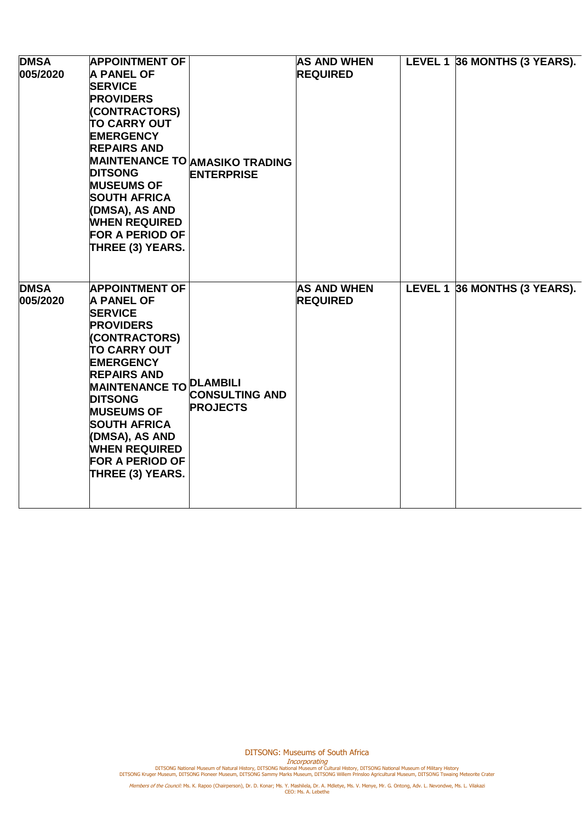| <b>DMSA</b><br>005/2020 | <b>APPOINTMENT OF</b><br><b>A PANEL OF</b><br><b>SERVICE</b><br><b>PROVIDERS</b><br>(CONTRACTORS)<br><b>TO CARRY OUT</b><br><b>EMERGENCY</b><br><b>REPAIRS AND</b><br><b>DITSONG</b><br><b>MUSEUMS OF</b><br><b>SOUTH AFRICA</b><br>(DMSA), AS AND<br><b>WHEN REQUIRED</b><br><b>FOR A PERIOD OF</b><br><b>THREE (3) YEARS.</b>                                   | <b>MAINTENANCE TO AMASIKO TRADING</b><br><b>ENTERPRISE</b> | <b>AS AND WHEN</b><br><b>REQUIRED</b> | LEVEL 1 36 MONTHS (3 YEARS). |
|-------------------------|-------------------------------------------------------------------------------------------------------------------------------------------------------------------------------------------------------------------------------------------------------------------------------------------------------------------------------------------------------------------|------------------------------------------------------------|---------------------------------------|------------------------------|
| <b>DMSA</b><br>005/2020 | <b>APPOINTMENT OF</b><br><b>A PANEL OF</b><br><b>SERVICE</b><br><b>PROVIDERS</b><br>(CONTRACTORS)<br><b>TO CARRY OUT</b><br><b>EMERGENCY</b><br><b>REPAIRS AND</b><br>MAINTENANCE TO <b>DLAMBILI</b><br><b>DITSONG</b><br><b>MUSEUMS OF</b><br><b>SOUTH AFRICA</b><br>(DMSA), AS AND<br><b>WHEN REQUIRED</b><br><b>FOR A PERIOD OF</b><br><b>THREE (3) YEARS.</b> | <b>CONSULTING AND</b><br><b>PROJECTS</b>                   | <b>AS AND WHEN</b><br><b>REQUIRED</b> | LEVEL 1 36 MONTHS (3 YEARS). |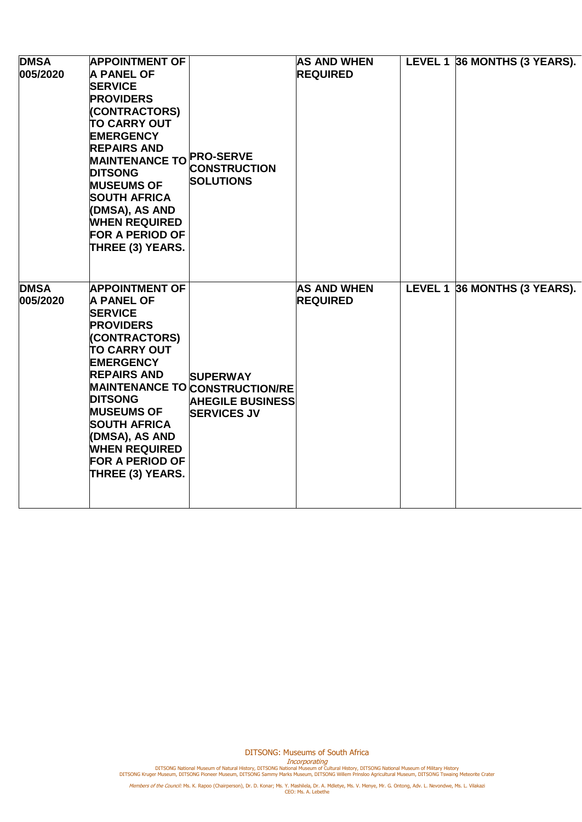| <b>DMSA</b><br>005/2020 | <b>APPOINTMENT OF</b><br><b>A PANEL OF</b><br><b>SERVICE</b><br><b>PROVIDERS</b><br>(CONTRACTORS)<br><b>TO CARRY OUT</b><br><b>EMERGENCY</b><br><b>REPAIRS AND</b><br>MAINTENANCE TO PRO-SERVE<br><b>DITSONG</b><br><b>MUSEUMS OF</b><br><b>SOUTH AFRICA</b><br>(DMSA), AS AND<br><b>WHEN REQUIRED</b><br><b>FOR A PERIOD OF</b><br>THREE (3) YEARS. | <b>CONSTRUCTION</b><br><b>SOLUTIONS</b>                                                                   | <b>AS AND WHEN</b><br><b>REQUIRED</b> | LEVEL 1 36 MONTHS (3 YEARS). |
|-------------------------|------------------------------------------------------------------------------------------------------------------------------------------------------------------------------------------------------------------------------------------------------------------------------------------------------------------------------------------------------|-----------------------------------------------------------------------------------------------------------|---------------------------------------|------------------------------|
| <b>DMSA</b><br>005/2020 | <b>APPOINTMENT OF</b><br><b>A PANEL OF</b><br><b>SERVICE</b><br><b>PROVIDERS</b><br>(CONTRACTORS)<br><b>TO CARRY OUT</b><br><b>EMERGENCY</b><br><b>REPAIRS AND</b><br><b>DITSONG</b><br><b>MUSEUMS OF</b><br><b>SOUTH AFRICA</b><br>(DMSA), AS AND<br><b>WHEN REQUIRED</b><br><b>FOR A PERIOD OF</b><br>THREE (3) YEARS.                             | <b>SUPERWAY</b><br><b>MAINTENANCE TO CONSTRUCTION/RE</b><br><b>AHEGILE BUSINESS</b><br><b>SERVICES JV</b> | <b>AS AND WHEN</b><br><b>REQUIRED</b> | LEVEL 1 36 MONTHS (3 YEARS). |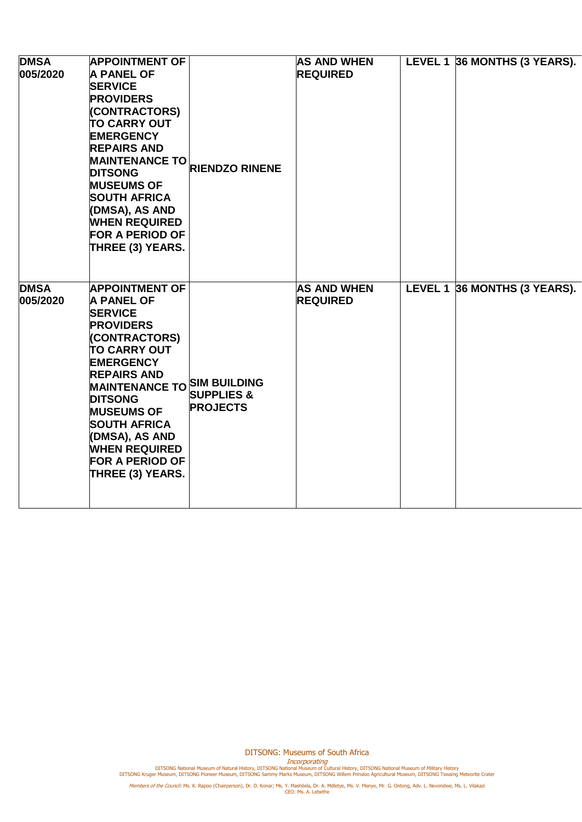| <b>DMSA</b><br>005/2020 | <b>APPOINTMENT OF</b><br><b>A PANEL OF</b><br><b>SERVICE</b><br><b>PROVIDERS</b><br>(CONTRACTORS)<br><b>TO CARRY OUT</b><br><b>EMERGENCY</b><br><b>REPAIRS AND</b><br><b>MAINTENANCE TO</b><br><b>DITSONG</b><br><b>MUSEUMS OF</b><br><b>SOUTH AFRICA</b><br>(DMSA), AS AND<br><b>WHEN REQUIRED</b><br><b>FOR A PERIOD OF</b><br>THREE (3) YEARS.              | <b>RIENDZO RINENE</b>                    | <b>AS AND WHEN</b><br><b>REQUIRED</b> | LEVEL 1 36 MONTHS (3 YEARS). |
|-------------------------|----------------------------------------------------------------------------------------------------------------------------------------------------------------------------------------------------------------------------------------------------------------------------------------------------------------------------------------------------------------|------------------------------------------|---------------------------------------|------------------------------|
| <b>DMSA</b><br>005/2020 | <b>APPOINTMENT OF</b><br><b>A PANEL OF</b><br><b>SERVICE</b><br><b>PROVIDERS</b><br>(CONTRACTORS)<br><b>TO CARRY OUT</b><br><b>EMERGENCY</b><br><b>REPAIRS AND</b><br><b>MAINTENANCE TO SIM BUILDING</b><br><b>DITSONG</b><br><b>MUSEUMS OF</b><br><b>SOUTH AFRICA</b><br>(DMSA), AS AND<br><b>WHEN REQUIRED</b><br><b>FOR A PERIOD OF</b><br>THREE (3) YEARS. | <b>SUPPLIES &amp;</b><br><b>PROJECTS</b> | <b>AS AND WHEN</b><br><b>REQUIRED</b> | LEVEL 1 36 MONTHS (3 YEARS). |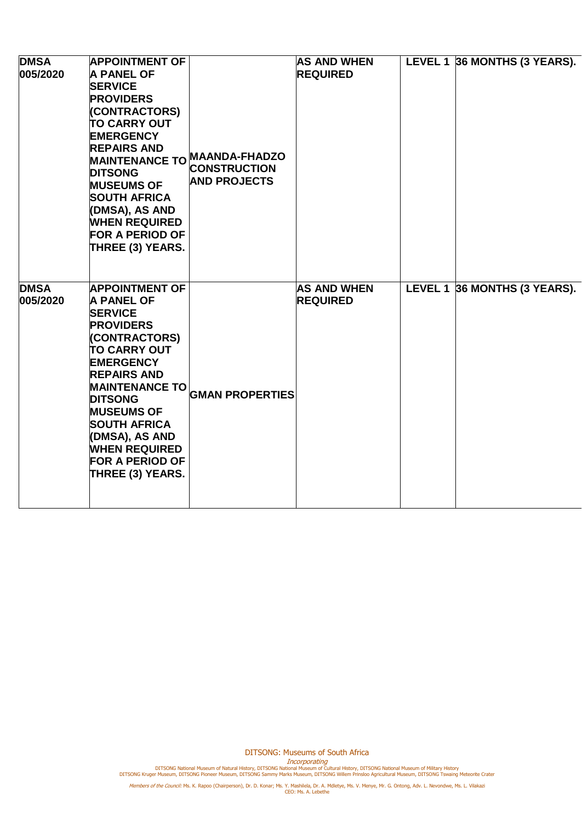| <b>DMSA</b><br>005/2020 | <b>APPOINTMENT OF</b><br><b>A PANEL OF</b><br><b>SERVICE</b><br><b>PROVIDERS</b><br>(CONTRACTORS)<br><b>TO CARRY OUT</b><br><b>EMERGENCY</b><br><b>REPAIRS AND</b><br>MAINTENANCE TO MAANDA-FHADZO<br><b>DITSONG</b><br><b>MUSEUMS OF</b><br><b>SOUTH AFRICA</b><br>(DMSA), AS AND<br><b>WHEN REQUIRED</b><br><b>FOR A PERIOD OF</b><br>THREE (3) YEARS. | <b>CONSTRUCTION</b><br><b>AND PROJECTS</b> | <b>AS AND WHEN</b><br><b>REQUIRED</b> | LEVEL 1 36 MONTHS (3 YEARS). |
|-------------------------|----------------------------------------------------------------------------------------------------------------------------------------------------------------------------------------------------------------------------------------------------------------------------------------------------------------------------------------------------------|--------------------------------------------|---------------------------------------|------------------------------|
| <b>DMSA</b><br>005/2020 | <b>APPOINTMENT OF</b><br><b>A PANEL OF</b><br><b>SERVICE</b><br><b>PROVIDERS</b><br>(CONTRACTORS)<br><b>TO CARRY OUT</b><br><b>EMERGENCY</b><br><b>REPAIRS AND</b><br><b>MAINTENANCE TO</b><br><b>DITSONG</b><br><b>MUSEUMS OF</b><br><b>SOUTH AFRICA</b><br>(DMSA), AS AND<br><b>WHEN REQUIRED</b><br><b>FOR A PERIOD OF</b><br>THREE (3) YEARS.        | <b>GMAN PROPERTIES</b>                     | <b>AS AND WHEN</b><br><b>REQUIRED</b> | LEVEL 1 36 MONTHS (3 YEARS). |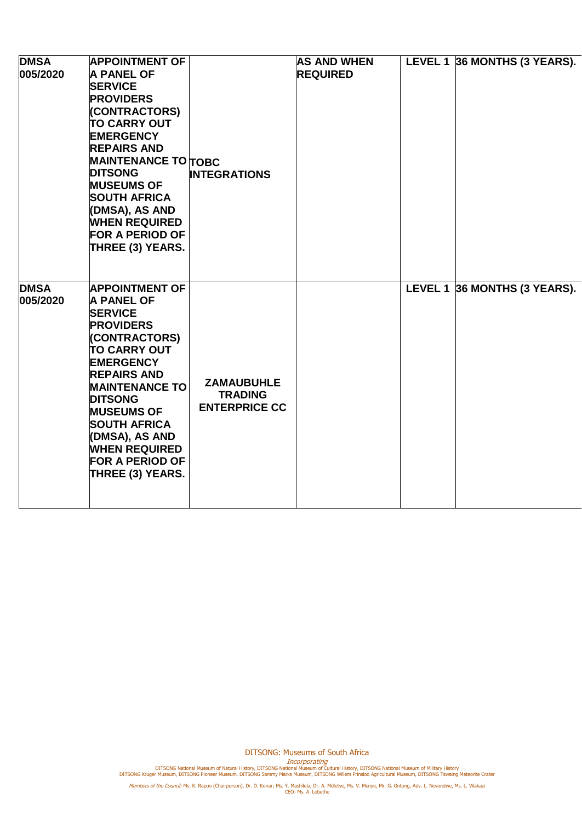| <b>DMSA</b><br>005/2020 | <b>APPOINTMENT OF</b><br><b>A PANEL OF</b><br><b>SERVICE</b><br><b>PROVIDERS</b><br>(CONTRACTORS)<br><b>TO CARRY OUT</b><br><b>EMERGENCY</b><br><b>REPAIRS AND</b><br><b>MAINTENANCE TO TOBC</b><br><b>DITSONG</b><br><b>MUSEUMS OF</b><br><b>SOUTH AFRICA</b><br>(DMSA), AS AND<br><b>WHEN REQUIRED</b><br><b>FOR A PERIOD OF</b><br>THREE (3) YEARS. | <b>INTEGRATIONS</b>                                         | <b>AS AND WHEN</b><br><b>REQUIRED</b> | LEVEL 1 36 MONTHS (3 YEARS). |
|-------------------------|--------------------------------------------------------------------------------------------------------------------------------------------------------------------------------------------------------------------------------------------------------------------------------------------------------------------------------------------------------|-------------------------------------------------------------|---------------------------------------|------------------------------|
| <b>DMSA</b><br>005/2020 | <b>APPOINTMENT OF</b><br><b>A PANEL OF</b><br><b>SERVICE</b><br><b>PROVIDERS</b><br>(CONTRACTORS)<br><b>TO CARRY OUT</b><br><b>EMERGENCY</b><br><b>REPAIRS AND</b><br><b>MAINTENANCE TO</b><br><b>DITSONG</b><br><b>MUSEUMS OF</b><br><b>SOUTH AFRICA</b><br>(DMSA), AS AND<br><b>WHEN REQUIRED</b><br><b>FOR A PERIOD OF</b><br>THREE (3) YEARS.      | <b>ZAMAUBUHLE</b><br><b>TRADING</b><br><b>ENTERPRICE CC</b> |                                       | LEVEL 1 36 MONTHS (3 YEARS). |